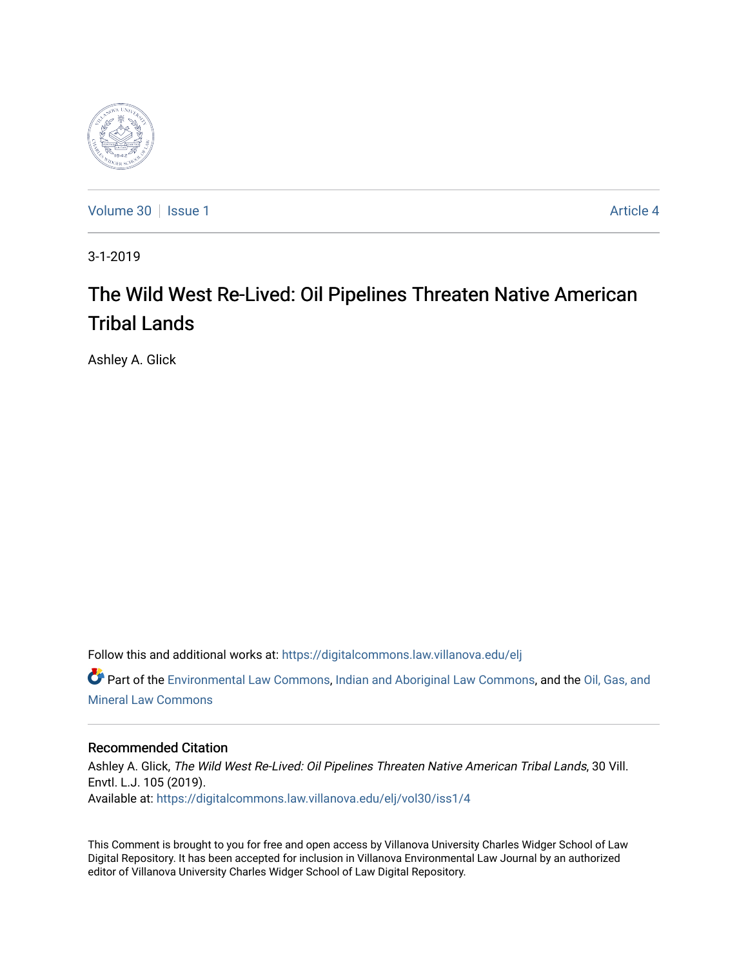

[Volume 30](https://digitalcommons.law.villanova.edu/elj/vol30) | [Issue 1](https://digitalcommons.law.villanova.edu/elj/vol30/iss1) Article 4

3-1-2019

# The Wild West Re-Lived: Oil Pipelines Threaten Native American Tribal Lands

Ashley A. Glick

Follow this and additional works at: [https://digitalcommons.law.villanova.edu/elj](https://digitalcommons.law.villanova.edu/elj?utm_source=digitalcommons.law.villanova.edu%2Felj%2Fvol30%2Fiss1%2F4&utm_medium=PDF&utm_campaign=PDFCoverPages) 

Part of the [Environmental Law Commons](http://network.bepress.com/hgg/discipline/599?utm_source=digitalcommons.law.villanova.edu%2Felj%2Fvol30%2Fiss1%2F4&utm_medium=PDF&utm_campaign=PDFCoverPages), [Indian and Aboriginal Law Commons](http://network.bepress.com/hgg/discipline/894?utm_source=digitalcommons.law.villanova.edu%2Felj%2Fvol30%2Fiss1%2F4&utm_medium=PDF&utm_campaign=PDFCoverPages), and the [Oil, Gas, and](http://network.bepress.com/hgg/discipline/864?utm_source=digitalcommons.law.villanova.edu%2Felj%2Fvol30%2Fiss1%2F4&utm_medium=PDF&utm_campaign=PDFCoverPages)  [Mineral Law Commons](http://network.bepress.com/hgg/discipline/864?utm_source=digitalcommons.law.villanova.edu%2Felj%2Fvol30%2Fiss1%2F4&utm_medium=PDF&utm_campaign=PDFCoverPages)

# Recommended Citation

Ashley A. Glick, The Wild West Re-Lived: Oil Pipelines Threaten Native American Tribal Lands, 30 Vill. Envtl. L.J. 105 (2019). Available at: [https://digitalcommons.law.villanova.edu/elj/vol30/iss1/4](https://digitalcommons.law.villanova.edu/elj/vol30/iss1/4?utm_source=digitalcommons.law.villanova.edu%2Felj%2Fvol30%2Fiss1%2F4&utm_medium=PDF&utm_campaign=PDFCoverPages)

This Comment is brought to you for free and open access by Villanova University Charles Widger School of Law Digital Repository. It has been accepted for inclusion in Villanova Environmental Law Journal by an authorized editor of Villanova University Charles Widger School of Law Digital Repository.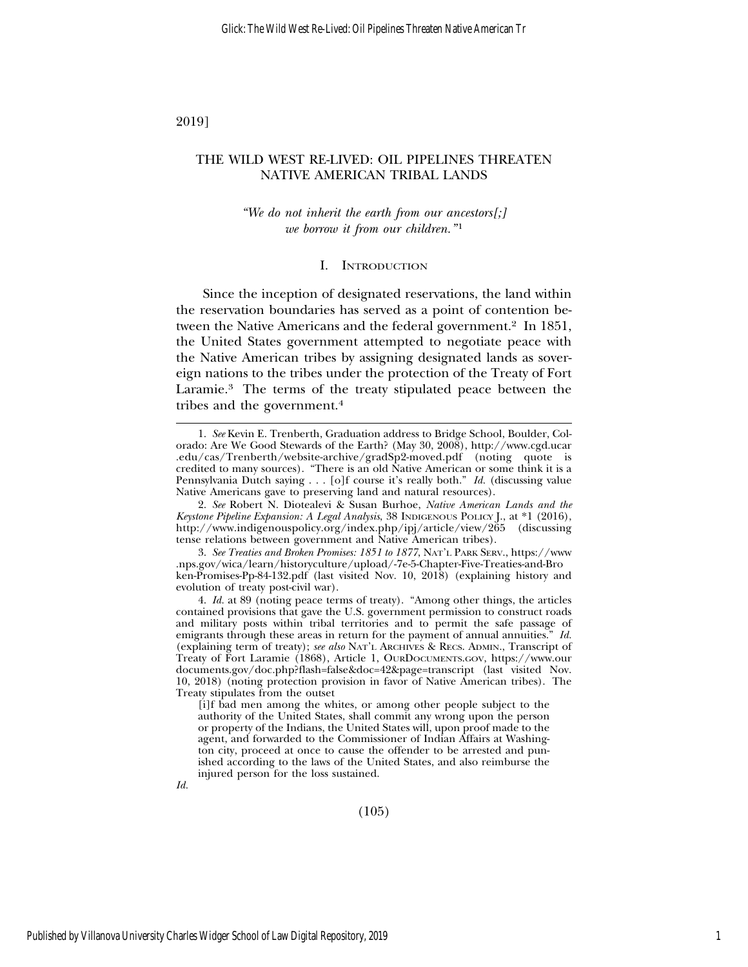2019]

# THE WILD WEST RE-LIVED: OIL PIPELINES THREATEN NATIVE AMERICAN TRIBAL LANDS

# *"We do not inherit the earth from our ancestors[;] we borrow it from our children.*"<sup>1</sup>

#### I. INTRODUCTION

Since the inception of designated reservations, the land within the reservation boundaries has served as a point of contention between the Native Americans and the federal government.<sup>2</sup> In 1851, the United States government attempted to negotiate peace with the Native American tribes by assigning designated lands as sovereign nations to the tribes under the protection of the Treaty of Fort Laramie.3 The terms of the treaty stipulated peace between the tribes and the government.4

*Id.*

<sup>1.</sup> *See* Kevin E. Trenberth, Graduation address to Bridge School, Boulder, Colorado: Are We Good Stewards of the Earth? (May 30, 2008), http://www.cgd.ucar .edu/cas/Trenberth/website-archive/gradSp2-moved.pdf (noting quote is credited to many sources). "There is an old Native American or some think it is a Pennsylvania Dutch saying . . . [o]f course it's really both." *Id.* (discussing value Native Americans gave to preserving land and natural resources).

<sup>2.</sup> *See* Robert N. Diotealevi & Susan Burhoe, *Native American Lands and the Keystone Pipeline Expansion: A Legal Analysis*, 38 INDIGENOUS POLICY J., at \*1 (2016), http://www.indigenouspolicy.org/index.php/ipj/article/view/265 (discussing tense relations between government and Native American tribes).

<sup>3.</sup> *See Treaties and Broken Promises: 1851 to 1877*, NAT'L PARK SERV., https://www .nps.gov/wica/learn/historyculture/upload/-7e-5-Chapter-Five-Treaties-and-Bro ken-Promises-Pp-84-132.pdf (last visited Nov. 10, 2018) (explaining history and evolution of treaty post-civil war).

<sup>4.</sup> *Id.* at 89 (noting peace terms of treaty). "Among other things, the articles contained provisions that gave the U.S. government permission to construct roads and military posts within tribal territories and to permit the safe passage of emigrants through these areas in return for the payment of annual annuities." *Id.* (explaining term of treaty); *see also* NAT'L ARCHIVES & RECS. ADMIN., Transcript of Treaty of Fort Laramie (1868), Article 1, OURDOCUMENTS.GOV, https://www.our documents.gov/doc.php?flash=false&doc=42&page=transcript (last visited Nov. 10, 2018) (noting protection provision in favor of Native American tribes). The Treaty stipulates from the outset

<sup>[</sup>i]f bad men among the whites, or among other people subject to the authority of the United States, shall commit any wrong upon the person or property of the Indians, the United States will, upon proof made to the agent, and forwarded to the Commissioner of Indian Affairs at Washington city, proceed at once to cause the offender to be arrested and punished according to the laws of the United States, and also reimburse the injured person for the loss sustained.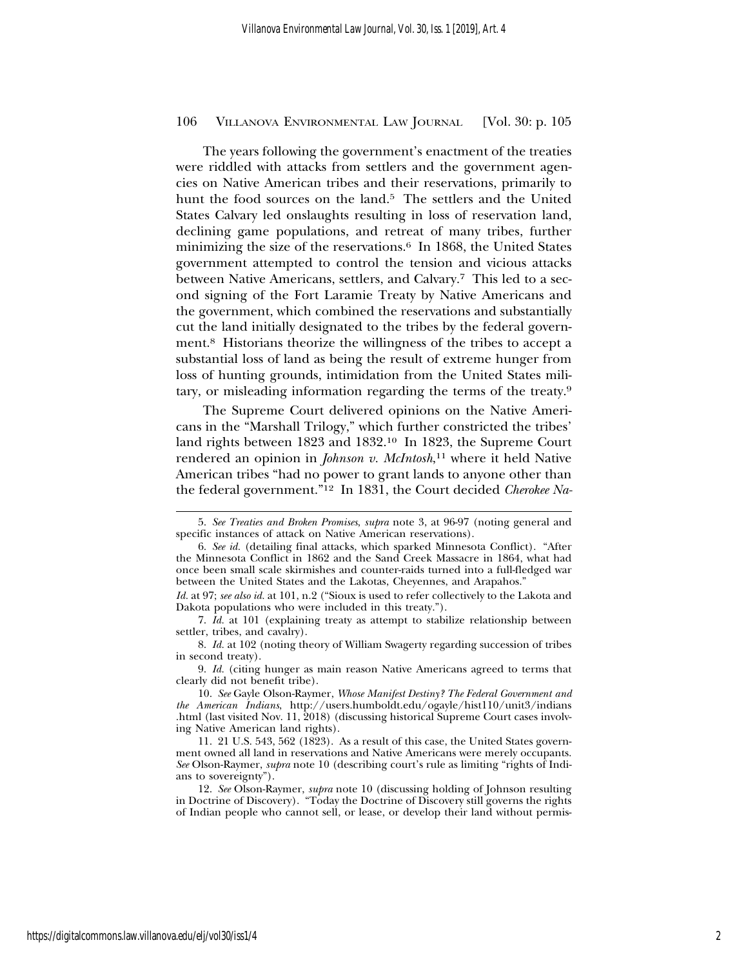The years following the government's enactment of the treaties were riddled with attacks from settlers and the government agencies on Native American tribes and their reservations, primarily to hunt the food sources on the land.<sup>5</sup> The settlers and the United States Calvary led onslaughts resulting in loss of reservation land, declining game populations, and retreat of many tribes, further minimizing the size of the reservations.<sup>6</sup> In 1868, the United States government attempted to control the tension and vicious attacks between Native Americans, settlers, and Calvary.7 This led to a second signing of the Fort Laramie Treaty by Native Americans and the government, which combined the reservations and substantially cut the land initially designated to the tribes by the federal government.8 Historians theorize the willingness of the tribes to accept a substantial loss of land as being the result of extreme hunger from loss of hunting grounds, intimidation from the United States military, or misleading information regarding the terms of the treaty.9

The Supreme Court delivered opinions on the Native Americans in the "Marshall Trilogy," which further constricted the tribes' land rights between 1823 and 1832.10 In 1823, the Supreme Court rendered an opinion in *Johnson v. McIntosh*, 11 where it held Native American tribes "had no power to grant lands to anyone other than the federal government."12 In 1831, the Court decided *Cherokee Na-*

<sup>5.</sup> *See Treaties and Broken Promises*, *supra* note 3, at 96-97 (noting general and specific instances of attack on Native American reservations).

<sup>6.</sup> *See id.* (detailing final attacks, which sparked Minnesota Conflict). "After the Minnesota Conflict in 1862 and the Sand Creek Massacre in 1864, what had once been small scale skirmishes and counter-raids turned into a full-fledged war between the United States and the Lakotas, Cheyennes, and Arapahos."

*Id.* at 97; *see also id.* at 101, n.2 ("Sioux is used to refer collectively to the Lakota and Dakota populations who were included in this treaty.").

<sup>7.</sup> *Id.* at 101 (explaining treaty as attempt to stabilize relationship between settler, tribes, and cavalry).

<sup>8.</sup> *Id.* at 102 (noting theory of William Swagerty regarding succession of tribes in second treaty).

<sup>9.</sup> *Id.* (citing hunger as main reason Native Americans agreed to terms that clearly did not benefit tribe).

<sup>10.</sup> *See* Gayle Olson-Raymer, *Whose Manifest Destiny? The Federal Government and the American Indians*, http://users.humboldt.edu/ogayle/hist110/unit3/indians .html (last visited Nov. 11, 2018) (discussing historical Supreme Court cases involving Native American land rights).

<sup>11. 21</sup> U.S. 543, 562 (1823). As a result of this case, the United States government owned all land in reservations and Native Americans were merely occupants. *See* Olson-Raymer, *supra* note 10 (describing court's rule as limiting "rights of Indians to sovereignty").

<sup>12.</sup> *See* Olson-Raymer, *supra* note 10 (discussing holding of Johnson resulting in Doctrine of Discovery). "Today the Doctrine of Discovery still governs the rights of Indian people who cannot sell, or lease, or develop their land without permis-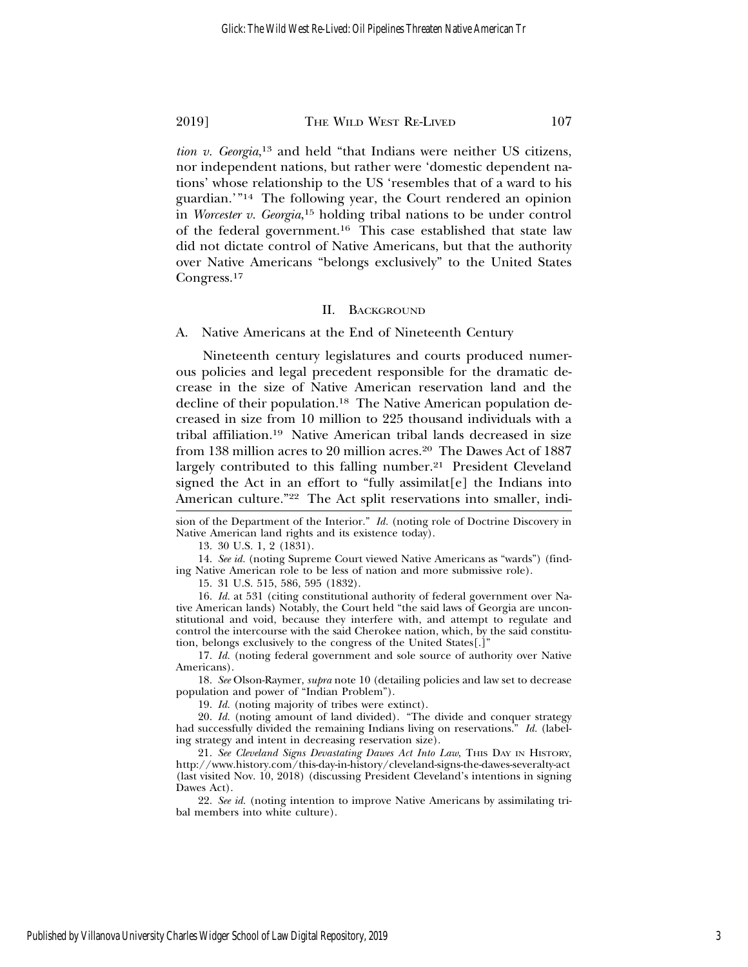*tion v. Georgia*, 13 and held "that Indians were neither US citizens, nor independent nations, but rather were 'domestic dependent nations' whose relationship to the US 'resembles that of a ward to his guardian.'"14 The following year, the Court rendered an opinion in *Worcester v. Georgia*, 15 holding tribal nations to be under control of the federal government.16 This case established that state law did not dictate control of Native Americans, but that the authority over Native Americans "belongs exclusively" to the United States Congress.17

## II. BACKGROUND

A. Native Americans at the End of Nineteenth Century

Nineteenth century legislatures and courts produced numerous policies and legal precedent responsible for the dramatic decrease in the size of Native American reservation land and the decline of their population.18 The Native American population decreased in size from 10 million to 225 thousand individuals with a tribal affiliation.19 Native American tribal lands decreased in size from 138 million acres to 20 million acres.<sup>20</sup> The Dawes Act of 1887 largely contributed to this falling number.<sup>21</sup> President Cleveland signed the Act in an effort to "fully assimilat[e] the Indians into American culture."22 The Act split reservations into smaller, indi-

13. 30 U.S. 1, 2 (1831).

14. *See id.* (noting Supreme Court viewed Native Americans as "wards") (finding Native American role to be less of nation and more submissive role).

15. 31 U.S. 515, 586, 595 (1832).

16. *Id.* at 531 (citing constitutional authority of federal government over Native American lands) Notably, the Court held "the said laws of Georgia are unconstitutional and void, because they interfere with, and attempt to regulate and control the intercourse with the said Cherokee nation, which, by the said constitution, belongs exclusively to the congress of the United States[.]"

17. *Id.* (noting federal government and sole source of authority over Native Americans).

18. *See* Olson-Raymer, *supra* note 10 (detailing policies and law set to decrease population and power of "Indian Problem").

19. *Id.* (noting majority of tribes were extinct).

20. *Id.* (noting amount of land divided). "The divide and conquer strategy had successfully divided the remaining Indians living on reservations." *Id.* (labeling strategy and intent in decreasing reservation size).

21. *See Cleveland Signs Devastating Dawes Act Into Law*, THIS DAY IN HISTORY, http://www.history.com/this-day-in-history/cleveland-signs-the-dawes-severalty-act (last visited Nov. 10, 2018) (discussing President Cleveland's intentions in signing Dawes Act).

22. *See id.* (noting intention to improve Native Americans by assimilating tribal members into white culture).

sion of the Department of the Interior." *Id.* (noting role of Doctrine Discovery in Native American land rights and its existence today).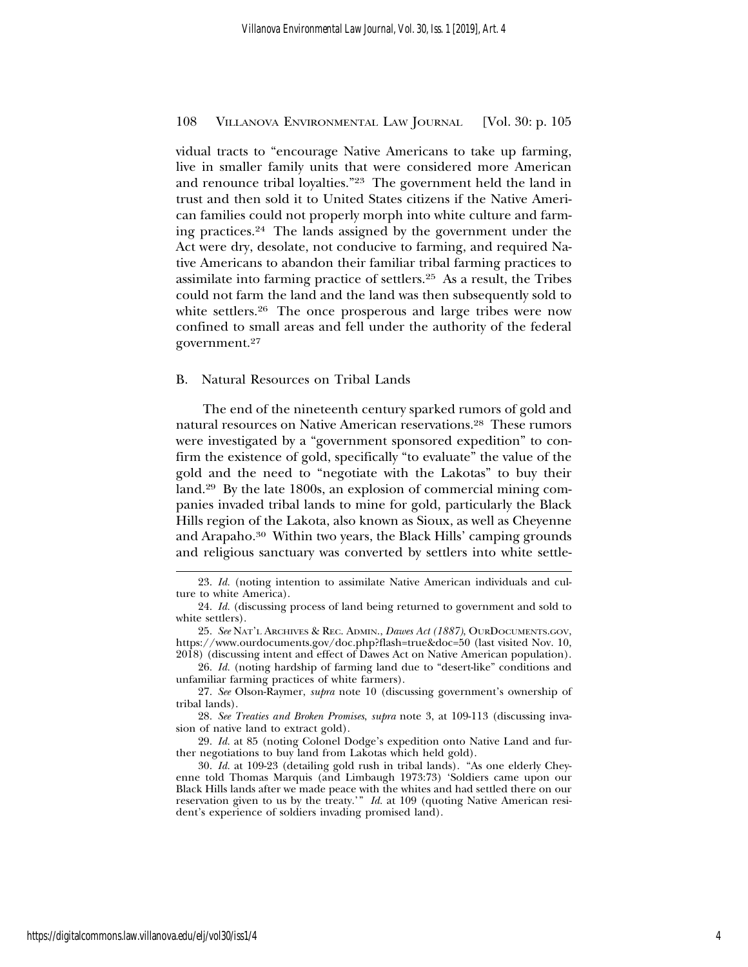vidual tracts to "encourage Native Americans to take up farming, live in smaller family units that were considered more American and renounce tribal loyalties."23 The government held the land in trust and then sold it to United States citizens if the Native American families could not properly morph into white culture and farming practices.24 The lands assigned by the government under the Act were dry, desolate, not conducive to farming, and required Native Americans to abandon their familiar tribal farming practices to assimilate into farming practice of settlers.25 As a result, the Tribes could not farm the land and the land was then subsequently sold to white settlers.<sup>26</sup> The once prosperous and large tribes were now confined to small areas and fell under the authority of the federal government.27

#### B. Natural Resources on Tribal Lands

The end of the nineteenth century sparked rumors of gold and natural resources on Native American reservations.28 These rumors were investigated by a "government sponsored expedition" to confirm the existence of gold, specifically "to evaluate" the value of the gold and the need to "negotiate with the Lakotas" to buy their land.29 By the late 1800s, an explosion of commercial mining companies invaded tribal lands to mine for gold, particularly the Black Hills region of the Lakota, also known as Sioux, as well as Cheyenne and Arapaho.30 Within two years, the Black Hills' camping grounds and religious sanctuary was converted by settlers into white settle-

<sup>23.</sup> *Id.* (noting intention to assimilate Native American individuals and culture to white America).

<sup>24.</sup> *Id.* (discussing process of land being returned to government and sold to white settlers).

<sup>25.</sup> *See* NAT'L ARCHIVES & REC. ADMIN., *Dawes Act (1887)*, OURDOCUMENTS.GOV, https://www.ourdocuments.gov/doc.php?flash=true&doc=50 (last visited Nov. 10, 2018) (discussing intent and effect of Dawes Act on Native American population).

<sup>26.</sup> *Id.* (noting hardship of farming land due to "desert-like" conditions and unfamiliar farming practices of white farmers).

<sup>27.</sup> *See* Olson-Raymer, *supra* note 10 (discussing government's ownership of tribal lands).

<sup>28.</sup> *See Treaties and Broken Promises*, *supra* note 3, at 109-113 (discussing invasion of native land to extract gold).

<sup>29.</sup> *Id.* at 85 (noting Colonel Dodge's expedition onto Native Land and further negotiations to buy land from Lakotas which held gold).

<sup>30.</sup> *Id.* at 109-23 (detailing gold rush in tribal lands). "As one elderly Cheyenne told Thomas Marquis (and Limbaugh 1973:73) 'Soldiers came upon our Black Hills lands after we made peace with the whites and had settled there on our reservation given to us by the treaty.'" *Id.* at 109 (quoting Native American resident's experience of soldiers invading promised land).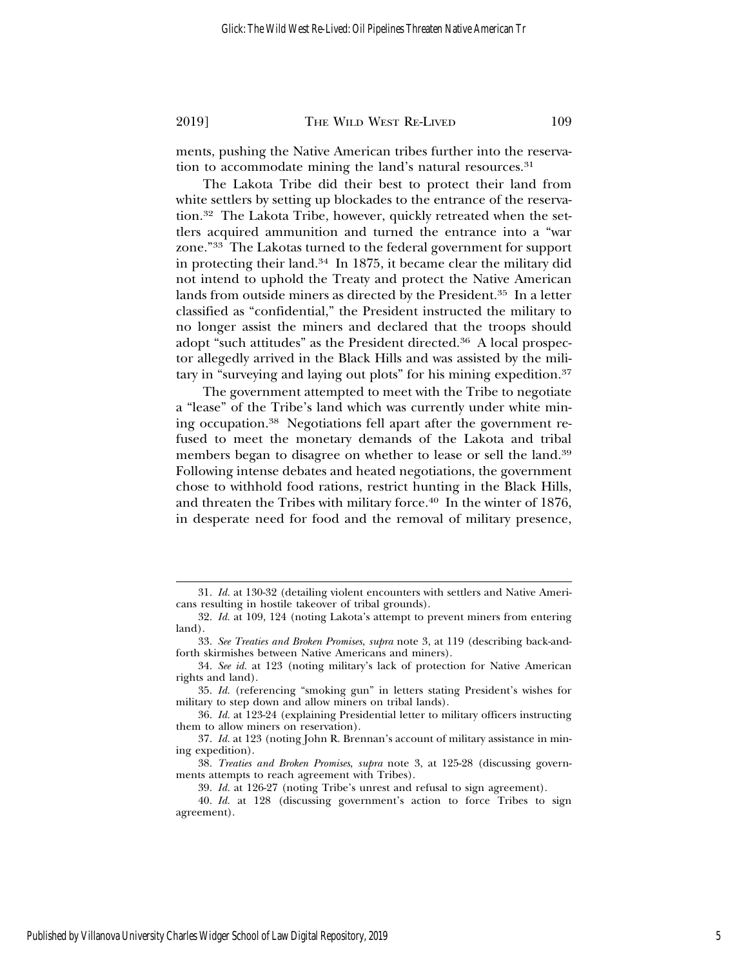ments, pushing the Native American tribes further into the reservation to accommodate mining the land's natural resources.<sup>31</sup>

The Lakota Tribe did their best to protect their land from white settlers by setting up blockades to the entrance of the reservation.<sup>32</sup> The Lakota Tribe, however, quickly retreated when the settlers acquired ammunition and turned the entrance into a "war zone."33 The Lakotas turned to the federal government for support in protecting their land.34 In 1875, it became clear the military did not intend to uphold the Treaty and protect the Native American lands from outside miners as directed by the President.35 In a letter classified as "confidential," the President instructed the military to no longer assist the miners and declared that the troops should adopt "such attitudes" as the President directed.36 A local prospector allegedly arrived in the Black Hills and was assisted by the military in "surveying and laying out plots" for his mining expedition.37

The government attempted to meet with the Tribe to negotiate a "lease" of the Tribe's land which was currently under white mining occupation.38 Negotiations fell apart after the government refused to meet the monetary demands of the Lakota and tribal members began to disagree on whether to lease or sell the land.39 Following intense debates and heated negotiations, the government chose to withhold food rations, restrict hunting in the Black Hills, and threaten the Tribes with military force.<sup>40</sup> In the winter of 1876, in desperate need for food and the removal of military presence,

<sup>31.</sup> *Id.* at 130-32 (detailing violent encounters with settlers and Native Americans resulting in hostile takeover of tribal grounds).

<sup>32.</sup> *Id.* at 109, 124 (noting Lakota's attempt to prevent miners from entering land).

<sup>33.</sup> *See Treaties and Broken Promises*, *supra* note 3, at 119 (describing back-andforth skirmishes between Native Americans and miners).

<sup>34.</sup> *See id.* at 123 (noting military's lack of protection for Native American rights and land).

<sup>35.</sup> *Id.* (referencing "smoking gun" in letters stating President's wishes for military to step down and allow miners on tribal lands).

<sup>36.</sup> *Id.* at 123-24 (explaining Presidential letter to military officers instructing them to allow miners on reservation).

<sup>37.</sup> *Id.* at 123 (noting John R. Brennan's account of military assistance in mining expedition).

<sup>38.</sup> *Treaties and Broken Promises*, *supra* note 3, at 125-28 (discussing governments attempts to reach agreement with Tribes).

<sup>39.</sup> *Id.* at 126-27 (noting Tribe's unrest and refusal to sign agreement).

<sup>40.</sup> *Id.* at 128 (discussing government's action to force Tribes to sign agreement).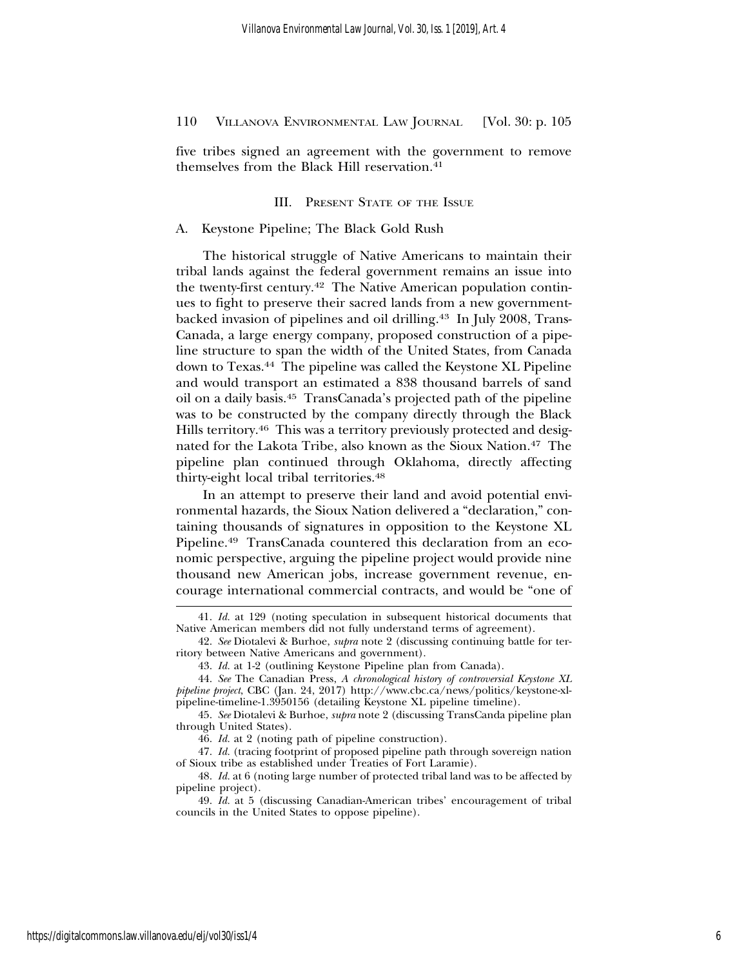five tribes signed an agreement with the government to remove themselves from the Black Hill reservation.<sup>41</sup>

# III. PRESENT STATE OF THE ISSUE

## A. Keystone Pipeline; The Black Gold Rush

The historical struggle of Native Americans to maintain their tribal lands against the federal government remains an issue into the twenty-first century.42 The Native American population continues to fight to preserve their sacred lands from a new governmentbacked invasion of pipelines and oil drilling.<sup>43</sup> In July 2008, Trans-Canada, a large energy company, proposed construction of a pipeline structure to span the width of the United States, from Canada down to Texas.44 The pipeline was called the Keystone XL Pipeline and would transport an estimated a 838 thousand barrels of sand oil on a daily basis.45 TransCanada's projected path of the pipeline was to be constructed by the company directly through the Black Hills territory.<sup>46</sup> This was a territory previously protected and designated for the Lakota Tribe, also known as the Sioux Nation.47 The pipeline plan continued through Oklahoma, directly affecting thirty-eight local tribal territories.48

In an attempt to preserve their land and avoid potential environmental hazards, the Sioux Nation delivered a "declaration," containing thousands of signatures in opposition to the Keystone XL Pipeline.49 TransCanada countered this declaration from an economic perspective, arguing the pipeline project would provide nine thousand new American jobs, increase government revenue, encourage international commercial contracts, and would be "one of

<sup>41.</sup> *Id.* at 129 (noting speculation in subsequent historical documents that Native American members did not fully understand terms of agreement).

<sup>42.</sup> *See* Diotalevi & Burhoe, *supra* note 2 (discussing continuing battle for territory between Native Americans and government).

<sup>43.</sup> *Id.* at 1-2 (outlining Keystone Pipeline plan from Canada).

<sup>44.</sup> *See* The Canadian Press, *A chronological history of controversial Keystone XL pipeline project*, CBC (Jan. 24, 2017) http://www.cbc.ca/news/politics/keystone-xlpipeline-timeline-1.3950156 (detailing Keystone XL pipeline timeline).

<sup>45.</sup> *See* Diotalevi & Burhoe, *supra* note 2 (discussing TransCanda pipeline plan through United States).

<sup>46.</sup> *Id.* at 2 (noting path of pipeline construction).

<sup>47.</sup> *Id.* (tracing footprint of proposed pipeline path through sovereign nation of Sioux tribe as established under Treaties of Fort Laramie).

<sup>48.</sup> *Id.* at 6 (noting large number of protected tribal land was to be affected by pipeline project).

<sup>49.</sup> *Id.* at 5 (discussing Canadian-American tribes' encouragement of tribal councils in the United States to oppose pipeline).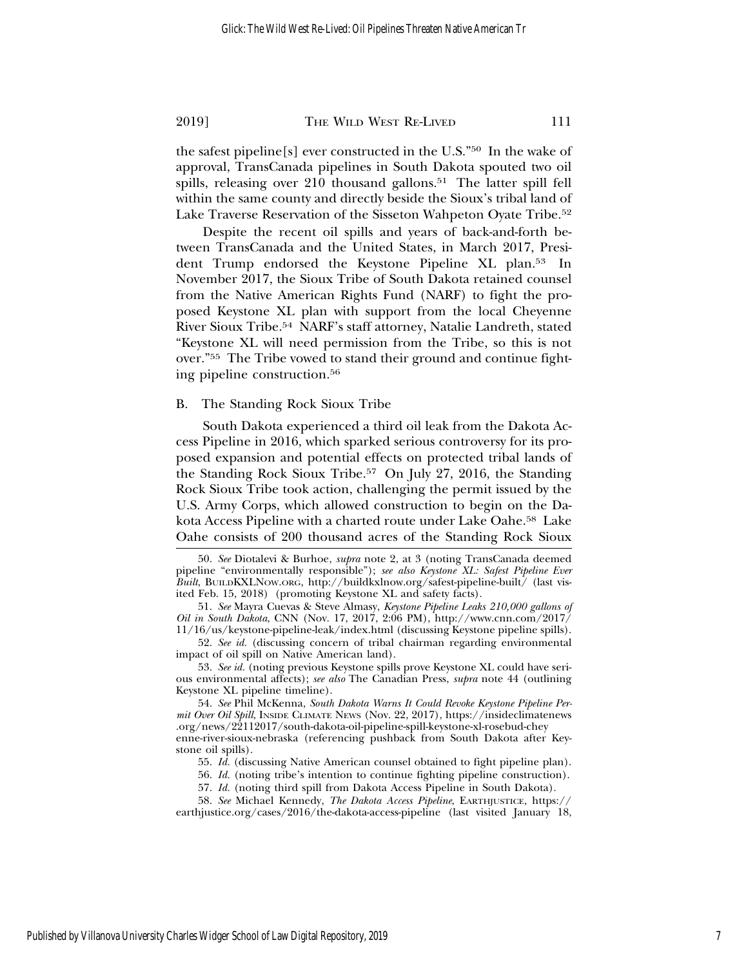the safest pipeline[s] ever constructed in the U.S."50 In the wake of approval, TransCanada pipelines in South Dakota spouted two oil spills, releasing over 210 thousand gallons.<sup>51</sup> The latter spill fell within the same county and directly beside the Sioux's tribal land of Lake Traverse Reservation of the Sisseton Wahpeton Oyate Tribe.<sup>52</sup>

Despite the recent oil spills and years of back-and-forth between TransCanada and the United States, in March 2017, President Trump endorsed the Keystone Pipeline XL plan.53 In November 2017, the Sioux Tribe of South Dakota retained counsel from the Native American Rights Fund (NARF) to fight the proposed Keystone XL plan with support from the local Cheyenne River Sioux Tribe.54 NARF's staff attorney, Natalie Landreth, stated "Keystone XL will need permission from the Tribe, so this is not over."55 The Tribe vowed to stand their ground and continue fighting pipeline construction.56

#### B. The Standing Rock Sioux Tribe

South Dakota experienced a third oil leak from the Dakota Access Pipeline in 2016, which sparked serious controversy for its proposed expansion and potential effects on protected tribal lands of the Standing Rock Sioux Tribe.57 On July 27, 2016, the Standing Rock Sioux Tribe took action, challenging the permit issued by the U.S. Army Corps, which allowed construction to begin on the Dakota Access Pipeline with a charted route under Lake Oahe.58 Lake Oahe consists of 200 thousand acres of the Standing Rock Sioux

53. *See id.* (noting previous Keystone spills prove Keystone XL could have serious environmental affects); *see also* The Canadian Press, *supra* note 44 (outlining Keystone XL pipeline timeline).

54. *See* Phil McKenna, *South Dakota Warns It Could Revoke Keystone Pipeline Permit Over Oil Spill*, INSIDE CLIMATE NEWS (Nov. 22, 2017), https://insideclimatenews .org/news/22112017/south-dakota-oil-pipeline-spill-keystone-xl-rosebud-chey enne-river-sioux-nebraska (referencing pushback from South Dakota after Keystone oil spills).

<sup>50.</sup> *See* Diotalevi & Burhoe, *supra* note 2, at 3 (noting TransCanada deemed pipeline "environmentally responsible"); *see also Keystone XL: Safest Pipeline Ever Built*, BUILDKXLNOW.ORG, http://buildkxlnow.org/safest-pipeline-built/ (last visited Feb. 15, 2018) (promoting Keystone XL and safety facts).

<sup>51.</sup> *See* Mayra Cuevas & Steve Almasy, *Keystone Pipeline Leaks 210,000 gallons of Oil in South Dakota*, CNN (Nov. 17, 2017, 2:06 PM), http://www.cnn.com/2017/ 11/16/us/keystone-pipeline-leak/index.html (discussing Keystone pipeline spills).

<sup>52.</sup> *See id.* (discussing concern of tribal chairman regarding environmental impact of oil spill on Native American land).

<sup>55.</sup> *Id.* (discussing Native American counsel obtained to fight pipeline plan).

<sup>56.</sup> *Id.* (noting tribe's intention to continue fighting pipeline construction).

<sup>57.</sup> *Id.* (noting third spill from Dakota Access Pipeline in South Dakota).

<sup>58.</sup> *See* Michael Kennedy, *The Dakota Access Pipeline*, EARTHJUSTICE, https:// earthjustice.org/cases/2016/the-dakota-access-pipeline (last visited January 18,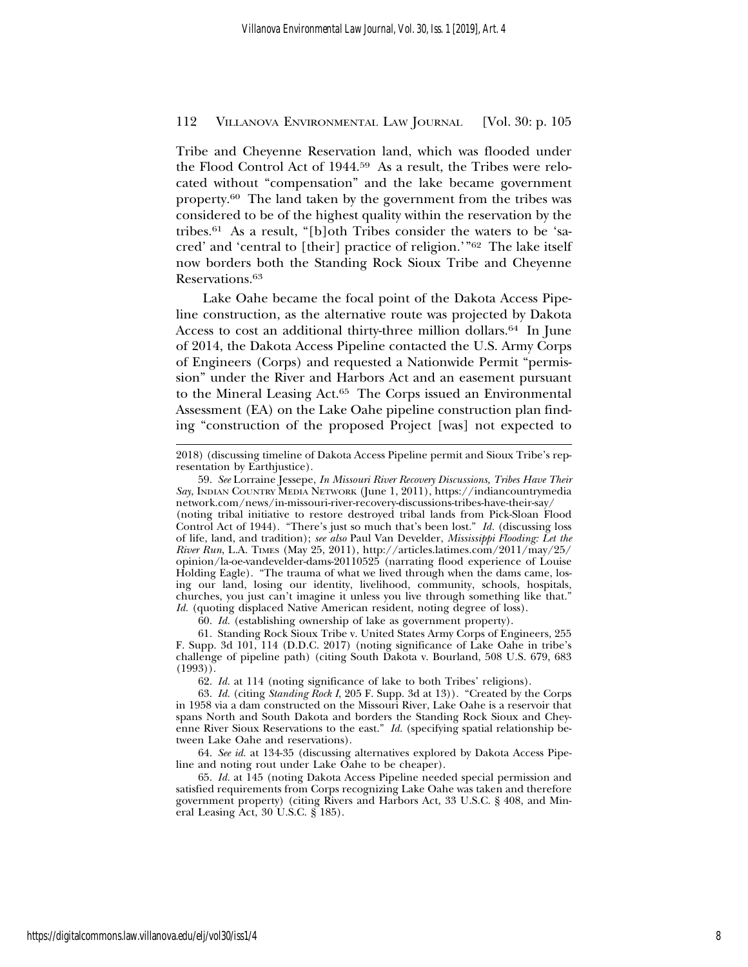Tribe and Cheyenne Reservation land, which was flooded under the Flood Control Act of 1944.59 As a result, the Tribes were relocated without "compensation" and the lake became government property.60 The land taken by the government from the tribes was considered to be of the highest quality within the reservation by the tribes.61 As a result, "[b]oth Tribes consider the waters to be 'sacred' and 'central to [their] practice of religion.'"62 The lake itself now borders both the Standing Rock Sioux Tribe and Cheyenne Reservations.63

Lake Oahe became the focal point of the Dakota Access Pipeline construction, as the alternative route was projected by Dakota Access to cost an additional thirty-three million dollars.64 In June of 2014, the Dakota Access Pipeline contacted the U.S. Army Corps of Engineers (Corps) and requested a Nationwide Permit "permission" under the River and Harbors Act and an easement pursuant to the Mineral Leasing Act.65 The Corps issued an Environmental Assessment (EA) on the Lake Oahe pipeline construction plan finding "construction of the proposed Project [was] not expected to

59. *See* Lorraine Jessepe, *In Missouri River Recovery Discussions, Tribes Have Their Say*, INDIAN COUNTRY MEDIA NETWORK (June 1, 2011), https://indiancountrymedia network.com/news/in-missouri-river-recovery-discussions-tribes-have-their-say/ (noting tribal initiative to restore destroyed tribal lands from Pick-Sloan Flood Control Act of 1944). "There's just so much that's been lost." *Id.* (discussing loss of life, land, and tradition); *see also* Paul Van Develder, *Mississippi Flooding: Let the River Run*, L.A. TIMES (May 25, 2011), http://articles.latimes.com/2011/may/25/ opinion/la-oe-vandevelder-dams-20110525 (narrating flood experience of Louise Holding Eagle). "The trauma of what we lived through when the dams came, losing our land, losing our identity, livelihood, community, schools, hospitals, churches, you just can't imagine it unless you live through something like that." *Id.* (quoting displaced Native American resident, noting degree of loss).

60. *Id.* (establishing ownership of lake as government property).

61. Standing Rock Sioux Tribe v. United States Army Corps of Engineers, 255 F. Supp. 3d 101, 114 (D.D.C. 2017) (noting significance of Lake Oahe in tribe's challenge of pipeline path) (citing South Dakota v. Bourland, 508 U.S. 679, 683  $(1993)$ .

62. *Id.* at 114 (noting significance of lake to both Tribes' religions).

63. *Id.* (citing *Standing Rock I*, 205 F. Supp. 3d at 13)). "Created by the Corps in 1958 via a dam constructed on the Missouri River, Lake Oahe is a reservoir that spans North and South Dakota and borders the Standing Rock Sioux and Cheyenne River Sioux Reservations to the east." *Id.* (specifying spatial relationship between Lake Oahe and reservations).

64. *See id.* at 134-35 (discussing alternatives explored by Dakota Access Pipeline and noting rout under Lake Oahe to be cheaper).

65. *Id.* at 145 (noting Dakota Access Pipeline needed special permission and satisfied requirements from Corps recognizing Lake Oahe was taken and therefore government property) (citing Rivers and Harbors Act, 33 U.S.C. § 408, and Mineral Leasing Act, 30 U.S.C. § 185).

<sup>2018) (</sup>discussing timeline of Dakota Access Pipeline permit and Sioux Tribe's representation by Earthjustice).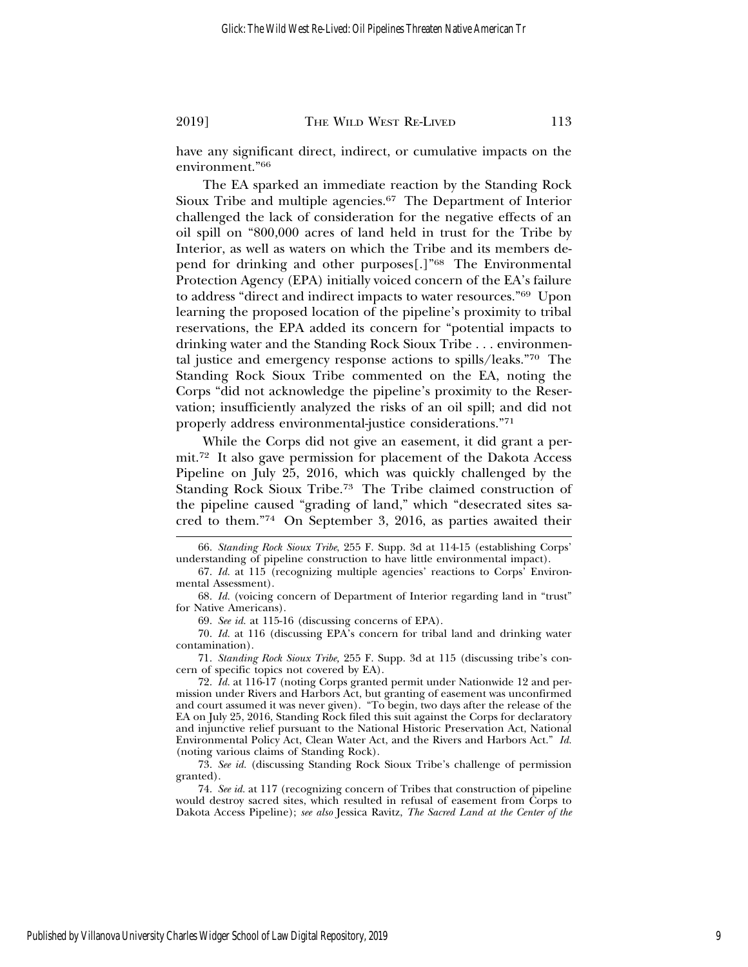have any significant direct, indirect, or cumulative impacts on the environment."66

The EA sparked an immediate reaction by the Standing Rock Sioux Tribe and multiple agencies.67 The Department of Interior challenged the lack of consideration for the negative effects of an oil spill on "800,000 acres of land held in trust for the Tribe by Interior, as well as waters on which the Tribe and its members depend for drinking and other purposes[.]"68 The Environmental Protection Agency (EPA) initially voiced concern of the EA's failure to address "direct and indirect impacts to water resources."69 Upon learning the proposed location of the pipeline's proximity to tribal reservations, the EPA added its concern for "potential impacts to drinking water and the Standing Rock Sioux Tribe . . . environmental justice and emergency response actions to spills/leaks."70 The Standing Rock Sioux Tribe commented on the EA, noting the Corps "did not acknowledge the pipeline's proximity to the Reservation; insufficiently analyzed the risks of an oil spill; and did not properly address environmental-justice considerations."71

While the Corps did not give an easement, it did grant a permit.72 It also gave permission for placement of the Dakota Access Pipeline on July 25, 2016, which was quickly challenged by the Standing Rock Sioux Tribe.73 The Tribe claimed construction of the pipeline caused "grading of land," which "desecrated sites sacred to them."74 On September 3, 2016, as parties awaited their

69. *See id.* at 115-16 (discussing concerns of EPA).

71. *Standing Rock Sioux Tribe,* 255 F. Supp. 3d at 115 (discussing tribe's concern of specific topics not covered by EA).

<sup>66.</sup> *Standing Rock Sioux Tribe*, 255 F. Supp. 3d at 114-15 (establishing Corps' understanding of pipeline construction to have little environmental impact).

<sup>67.</sup> *Id.* at 115 (recognizing multiple agencies' reactions to Corps' Environmental Assessment).

<sup>68.</sup> *Id.* (voicing concern of Department of Interior regarding land in "trust" for Native Americans).

<sup>70.</sup> *Id.* at 116 (discussing EPA's concern for tribal land and drinking water contamination).

<sup>72.</sup> *Id.* at 116-17 (noting Corps granted permit under Nationwide 12 and permission under Rivers and Harbors Act, but granting of easement was unconfirmed and court assumed it was never given). "To begin, two days after the release of the EA on July 25, 2016, Standing Rock filed this suit against the Corps for declaratory and injunctive relief pursuant to the National Historic Preservation Act, National Environmental Policy Act, Clean Water Act, and the Rivers and Harbors Act." *Id.* (noting various claims of Standing Rock).

<sup>73.</sup> *See id.* (discussing Standing Rock Sioux Tribe's challenge of permission granted).

<sup>74.</sup> *See id.* at 117 (recognizing concern of Tribes that construction of pipeline would destroy sacred sites, which resulted in refusal of easement from Corps to Dakota Access Pipeline); *see also* Jessica Ravitz, *The Sacred Land at the Center of the*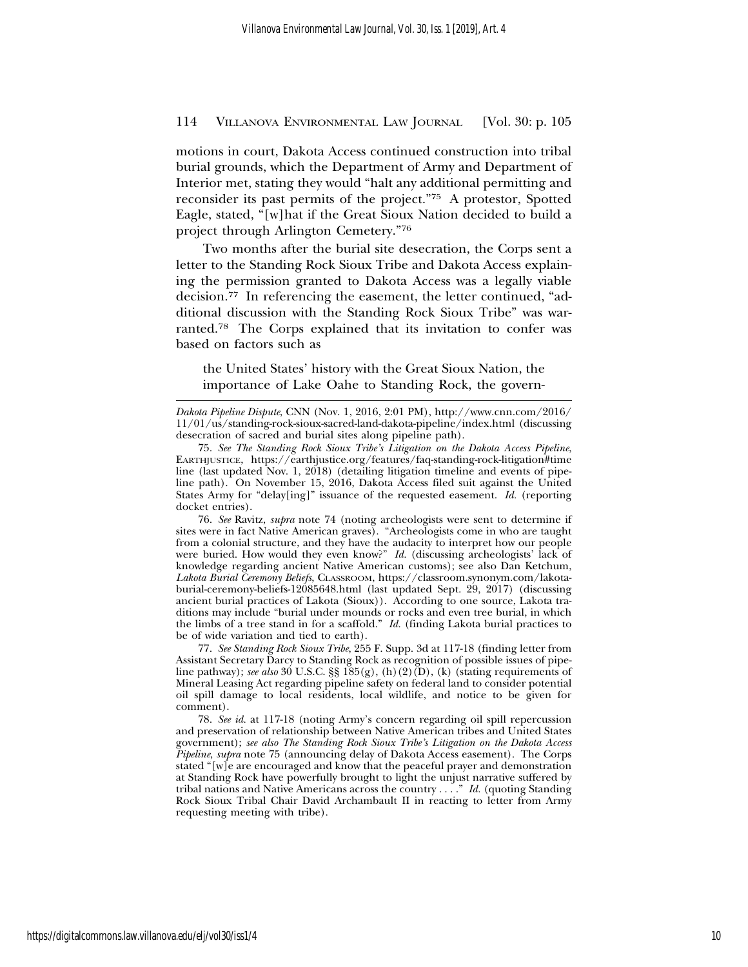motions in court, Dakota Access continued construction into tribal burial grounds, which the Department of Army and Department of Interior met, stating they would "halt any additional permitting and reconsider its past permits of the project."75 A protestor, Spotted Eagle, stated, "[w]hat if the Great Sioux Nation decided to build a project through Arlington Cemetery."76

Two months after the burial site desecration, the Corps sent a letter to the Standing Rock Sioux Tribe and Dakota Access explaining the permission granted to Dakota Access was a legally viable decision.77 In referencing the easement, the letter continued, "additional discussion with the Standing Rock Sioux Tribe" was warranted.78 The Corps explained that its invitation to confer was based on factors such as

the United States' history with the Great Sioux Nation, the importance of Lake Oahe to Standing Rock, the govern-

76. *See* Ravitz, *supra* note 74 (noting archeologists were sent to determine if sites were in fact Native American graves). "Archeologists come in who are taught from a colonial structure, and they have the audacity to interpret how our people were buried. How would they even know?" *Id.* (discussing archeologists' lack of knowledge regarding ancient Native American customs); see also Dan Ketchum, *Lakota Burial Ceremony Beliefs*, CLASSROOM, https://classroom.synonym.com/lakotaburial-ceremony-beliefs-12085648.html (last updated Sept. 29, 2017) (discussing ancient burial practices of Lakota (Sioux)). According to one source, Lakota traditions may include "burial under mounds or rocks and even tree burial, in which the limbs of a tree stand in for a scaffold." *Id.* (finding Lakota burial practices to be of wide variation and tied to earth).

77. *See Standing Rock Sioux Tribe*, 255 F. Supp. 3d at 117-18 (finding letter from Assistant Secretary Darcy to Standing Rock as recognition of possible issues of pipeline pathway); *see also* 30 U.S.C. §§  $185(g)$ , (h)(2)(D), (k) (stating requirements of Mineral Leasing Act regarding pipeline safety on federal land to consider potential oil spill damage to local residents, local wildlife, and notice to be given for comment).

78. *See id.* at 117-18 (noting Army's concern regarding oil spill repercussion and preservation of relationship between Native American tribes and United States government); *see also The Standing Rock Sioux Tribe's Litigation on the Dakota Access Pipeline*, *supra* note 75 (announcing delay of Dakota Access easement). The Corps stated "[w]e are encouraged and know that the peaceful prayer and demonstration at Standing Rock have powerfully brought to light the unjust narrative suffered by tribal nations and Native Americans across the country . . . ." *Id.* (quoting Standing Rock Sioux Tribal Chair David Archambault II in reacting to letter from Army requesting meeting with tribe).

*Dakota Pipeline Dispute*, CNN (Nov. 1, 2016, 2:01 PM), http://www.cnn.com/2016/ 11/01/us/standing-rock-sioux-sacred-land-dakota-pipeline/index.html (discussing desecration of sacred and burial sites along pipeline path).

<sup>75.</sup> *See The Standing Rock Sioux Tribe's Litigation on the Dakota Access Pipeline*, EARTHJUSTICE, https://earthjustice.org/features/faq-standing-rock-litigation#time line (last updated Nov. 1, 2018) (detailing litigation timeline and events of pipeline path). On November 15, 2016, Dakota Access filed suit against the United States Army for "delay[ing]" issuance of the requested easement. *Id.* (reporting docket entries).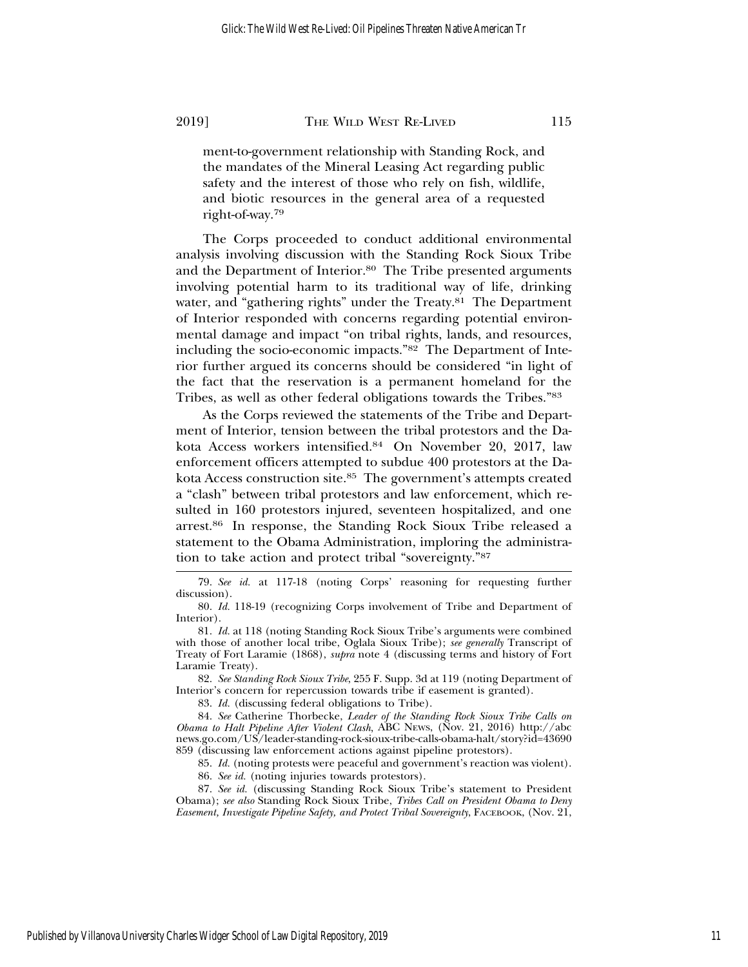ment-to-government relationship with Standing Rock, and the mandates of the Mineral Leasing Act regarding public safety and the interest of those who rely on fish, wildlife, and biotic resources in the general area of a requested right-of-way.79

The Corps proceeded to conduct additional environmental analysis involving discussion with the Standing Rock Sioux Tribe and the Department of Interior.80 The Tribe presented arguments involving potential harm to its traditional way of life, drinking water, and "gathering rights" under the Treaty.<sup>81</sup> The Department of Interior responded with concerns regarding potential environmental damage and impact "on tribal rights, lands, and resources, including the socio-economic impacts."82 The Department of Interior further argued its concerns should be considered "in light of the fact that the reservation is a permanent homeland for the Tribes, as well as other federal obligations towards the Tribes."83

As the Corps reviewed the statements of the Tribe and Department of Interior, tension between the tribal protestors and the Dakota Access workers intensified.84 On November 20, 2017, law enforcement officers attempted to subdue 400 protestors at the Dakota Access construction site.85 The government's attempts created a "clash" between tribal protestors and law enforcement, which resulted in 160 protestors injured, seventeen hospitalized, and one arrest.86 In response, the Standing Rock Sioux Tribe released a statement to the Obama Administration, imploring the administration to take action and protect tribal "sovereignty."87

82. *See Standing Rock Sioux Tribe*, 255 F. Supp. 3d at 119 (noting Department of Interior's concern for repercussion towards tribe if easement is granted).

83. *Id.* (discussing federal obligations to Tribe).

84. *See* Catherine Thorbecke, *Leader of the Standing Rock Sioux Tribe Calls on Obama to Halt Pipeline After Violent Clash*, ABC NEWS, (Nov. 21, 2016) http://abc news.go.com/US/leader-standing-rock-sioux-tribe-calls-obama-halt/story?id=43690 859 (discussing law enforcement actions against pipeline protestors).

85. *Id.* (noting protests were peaceful and government's reaction was violent).

86. *See id.* (noting injuries towards protestors).

87. *See id.* (discussing Standing Rock Sioux Tribe's statement to President Obama); *see also* Standing Rock Sioux Tribe, *Tribes Call on President Obama to Deny Easement, Investigate Pipeline Safety, and Protect Tribal Sovereignty*, FACEBOOK, (Nov. 21,

<sup>79.</sup> *See id.* at 117-18 (noting Corps' reasoning for requesting further discussion).

<sup>80.</sup> *Id.* 118-19 (recognizing Corps involvement of Tribe and Department of Interior).

<sup>81.</sup> *Id.* at 118 (noting Standing Rock Sioux Tribe's arguments were combined with those of another local tribe, Oglala Sioux Tribe); *see generally* Transcript of Treaty of Fort Laramie (1868), *supra* note 4 (discussing terms and history of Fort Laramie Treaty).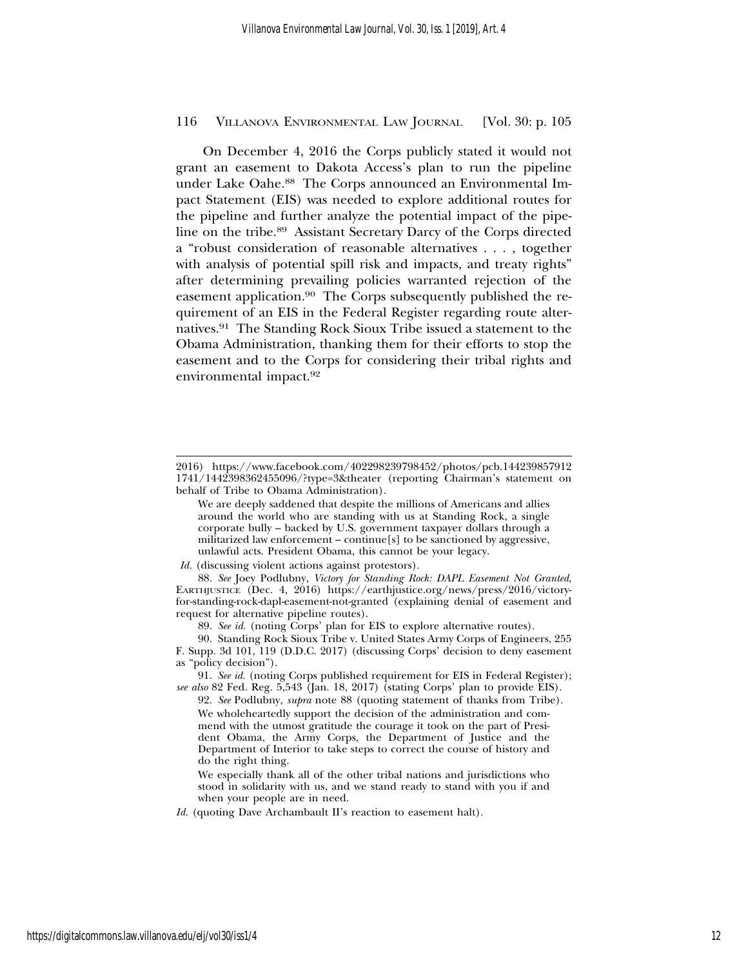On December 4, 2016 the Corps publicly stated it would not grant an easement to Dakota Access's plan to run the pipeline under Lake Oahe.<sup>88</sup> The Corps announced an Environmental Impact Statement (EIS) was needed to explore additional routes for the pipeline and further analyze the potential impact of the pipeline on the tribe.89 Assistant Secretary Darcy of the Corps directed a "robust consideration of reasonable alternatives . . . , together with analysis of potential spill risk and impacts, and treaty rights" after determining prevailing policies warranted rejection of the easement application.90 The Corps subsequently published the requirement of an EIS in the Federal Register regarding route alternatives.91 The Standing Rock Sioux Tribe issued a statement to the Obama Administration, thanking them for their efforts to stop the easement and to the Corps for considering their tribal rights and environmental impact.92

*Id.* (discussing violent actions against protestors).

88. *See* Joey Podlubny, *Victory for Standing Rock: DAPL Easement Not Granted*, EARTHJUSTICE (Dec. 4, 2016) https://earthjustice.org/news/press/2016/victoryfor-standing-rock-dapl-easement-not-granted (explaining denial of easement and request for alternative pipeline routes).

89. *See id.* (noting Corps' plan for EIS to explore alternative routes).

91. *See id.* (noting Corps published requirement for EIS in Federal Register); *see also* 82 Fed. Reg. 5,543 (Jan. 18, 2017) (stating Corps' plan to provide EIS).

92. *See* Podlubny, *supra* note 88 (quoting statement of thanks from Tribe). We wholeheartedly support the decision of the administration and commend with the utmost gratitude the courage it took on the part of President Obama, the Army Corps, the Department of Justice and the Department of Interior to take steps to correct the course of history and do the right thing.

We especially thank all of the other tribal nations and jurisdictions who stood in solidarity with us, and we stand ready to stand with you if and when your people are in need.

<sup>2016)</sup> https://www.facebook.com/402298239798452/photos/pcb.144239857912 1741/1442398362455096/?type=3&theater (reporting Chairman's statement on behalf of Tribe to Obama Administration).

We are deeply saddened that despite the millions of Americans and allies around the world who are standing with us at Standing Rock, a single corporate bully – backed by U.S. government taxpayer dollars through a militarized law enforcement – continue [s] to be sanctioned by aggressive, unlawful acts. President Obama, this cannot be your legacy.

<sup>90.</sup> Standing Rock Sioux Tribe v. United States Army Corps of Engineers, 255 F. Supp. 3d 101, 119 (D.D.C. 2017) (discussing Corps' decision to deny easement as "policy decision").

*Id.* (quoting Dave Archambault II's reaction to easement halt).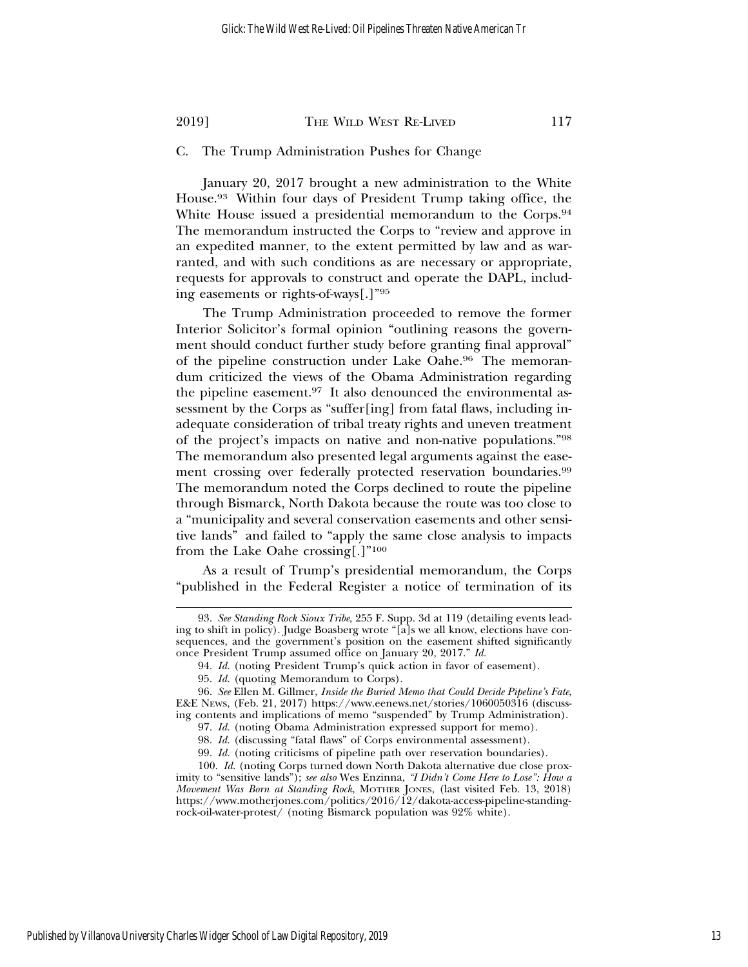# C. The Trump Administration Pushes for Change

January 20, 2017 brought a new administration to the White House.93 Within four days of President Trump taking office, the White House issued a presidential memorandum to the Corps.<sup>94</sup> The memorandum instructed the Corps to "review and approve in an expedited manner, to the extent permitted by law and as warranted, and with such conditions as are necessary or appropriate, requests for approvals to construct and operate the DAPL, including easements or rights-of-ways[.]"95

The Trump Administration proceeded to remove the former Interior Solicitor's formal opinion "outlining reasons the government should conduct further study before granting final approval" of the pipeline construction under Lake Oahe.96 The memorandum criticized the views of the Obama Administration regarding the pipeline easement.97 It also denounced the environmental assessment by the Corps as "suffer[ing] from fatal flaws, including inadequate consideration of tribal treaty rights and uneven treatment of the project's impacts on native and non-native populations."98 The memorandum also presented legal arguments against the easement crossing over federally protected reservation boundaries.<sup>99</sup> The memorandum noted the Corps declined to route the pipeline through Bismarck, North Dakota because the route was too close to a "municipality and several conservation easements and other sensitive lands" and failed to "apply the same close analysis to impacts from the Lake Oahe crossing[.]"100

As a result of Trump's presidential memorandum, the Corps "published in the Federal Register a notice of termination of its

<sup>93.</sup> *See Standing Rock Sioux Tribe*, 255 F. Supp. 3d at 119 (detailing events leading to shift in policy). Judge Boasberg wrote "[a]s we all know, elections have consequences, and the government's position on the easement shifted significantly once President Trump assumed office on January 20, 2017." *Id.*

<sup>94.</sup> *Id.* (noting President Trump's quick action in favor of easement).

<sup>95.</sup> *Id.* (quoting Memorandum to Corps).

<sup>96.</sup> *See* Ellen M. Gillmer, *Inside the Buried Memo that Could Decide Pipeline's Fate*, E&E NEWS, (Feb. 21, 2017) https://www.eenews.net/stories/1060050316 (discussing contents and implications of memo "suspended" by Trump Administration).

<sup>97.</sup> *Id.* (noting Obama Administration expressed support for memo).

<sup>98.</sup> *Id.* (discussing "fatal flaws" of Corps environmental assessment).

<sup>99.</sup> *Id.* (noting criticisms of pipeline path over reservation boundaries).

<sup>100.</sup> *Id.* (noting Corps turned down North Dakota alternative due close proximity to "sensitive lands"); *see also* Wes Enzinna, *"I Didn't Come Here to Lose": How a Movement Was Born at Standing Rock*, MOTHER JONES, (last visited Feb. 13, 2018) https://www.motherjones.com/politics/2016/12/dakota-access-pipeline-standingrock-oil-water-protest/ (noting Bismarck population was 92% white).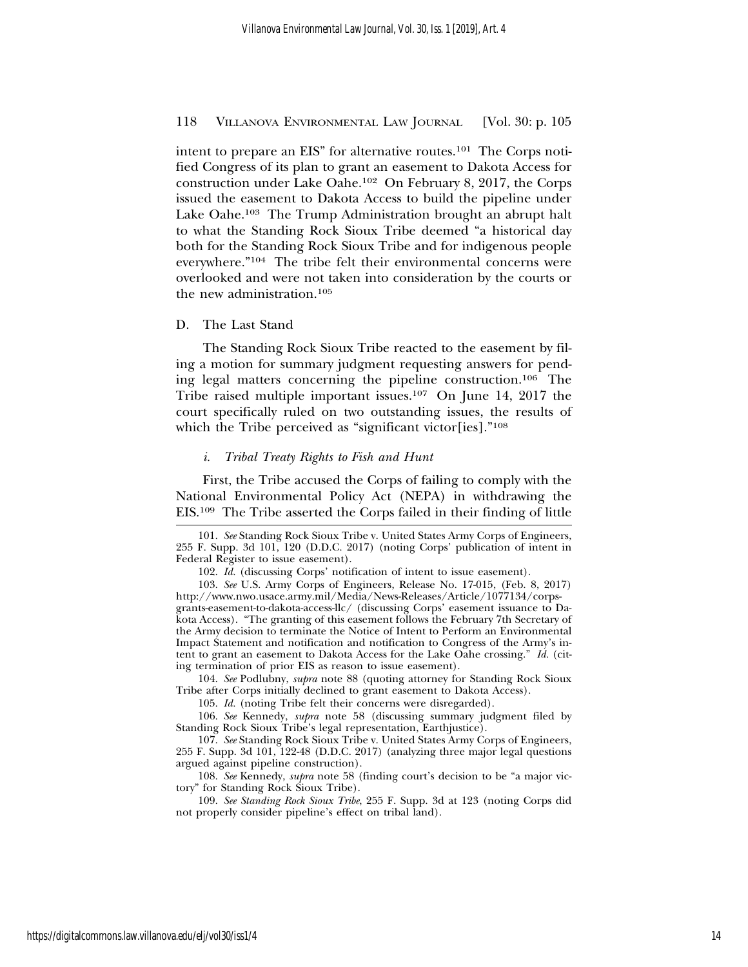intent to prepare an EIS" for alternative routes.<sup>101</sup> The Corps notified Congress of its plan to grant an easement to Dakota Access for construction under Lake Oahe.102 On February 8, 2017, the Corps issued the easement to Dakota Access to build the pipeline under Lake Oahe.103 The Trump Administration brought an abrupt halt to what the Standing Rock Sioux Tribe deemed "a historical day both for the Standing Rock Sioux Tribe and for indigenous people everywhere."104 The tribe felt their environmental concerns were overlooked and were not taken into consideration by the courts or the new administration.105

#### D. The Last Stand

The Standing Rock Sioux Tribe reacted to the easement by filing a motion for summary judgment requesting answers for pending legal matters concerning the pipeline construction.106 The Tribe raised multiple important issues.107 On June 14, 2017 the court specifically ruled on two outstanding issues, the results of which the Tribe perceived as "significant victor[ies]."<sup>108</sup>

#### *i. Tribal Treaty Rights to Fish and Hunt*

First, the Tribe accused the Corps of failing to comply with the National Environmental Policy Act (NEPA) in withdrawing the EIS.109 The Tribe asserted the Corps failed in their finding of little

104. *See* Podlubny, *supra* note 88 (quoting attorney for Standing Rock Sioux Tribe after Corps initially declined to grant easement to Dakota Access).

105. *Id.* (noting Tribe felt their concerns were disregarded).

106. *See* Kennedy, *supra* note 58 (discussing summary judgment filed by Standing Rock Sioux Tribe's legal representation, Earthjustice).

107. *See* Standing Rock Sioux Tribe v. United States Army Corps of Engineers, 255 F. Supp. 3d 101, 122-48 (D.D.C. 2017) (analyzing three major legal questions argued against pipeline construction).

108. *See* Kennedy, *supra* note 58 (finding court's decision to be "a major victory" for Standing Rock Sioux Tribe).

109. *See Standing Rock Sioux Tribe*, 255 F. Supp. 3d at 123 (noting Corps did not properly consider pipeline's effect on tribal land).

<sup>101.</sup> *See* Standing Rock Sioux Tribe v. United States Army Corps of Engineers, 255 F. Supp. 3d 101, 120 (D.D.C. 2017) (noting Corps' publication of intent in Federal Register to issue easement).

<sup>102.</sup> *Id.* (discussing Corps' notification of intent to issue easement).

<sup>103.</sup> *See* U.S. Army Corps of Engineers, Release No. 17-015, (Feb. 8, 2017) http://www.nwo.usace.army.mil/Media/News-Releases/Article/1077134/corpsgrants-easement-to-dakota-access-llc/ (discussing Corps' easement issuance to Dakota Access). "The granting of this easement follows the February 7th Secretary of the Army decision to terminate the Notice of Intent to Perform an Environmental Impact Statement and notification and notification to Congress of the Army's intent to grant an easement to Dakota Access for the Lake Oahe crossing." *Id.* (citing termination of prior EIS as reason to issue easement).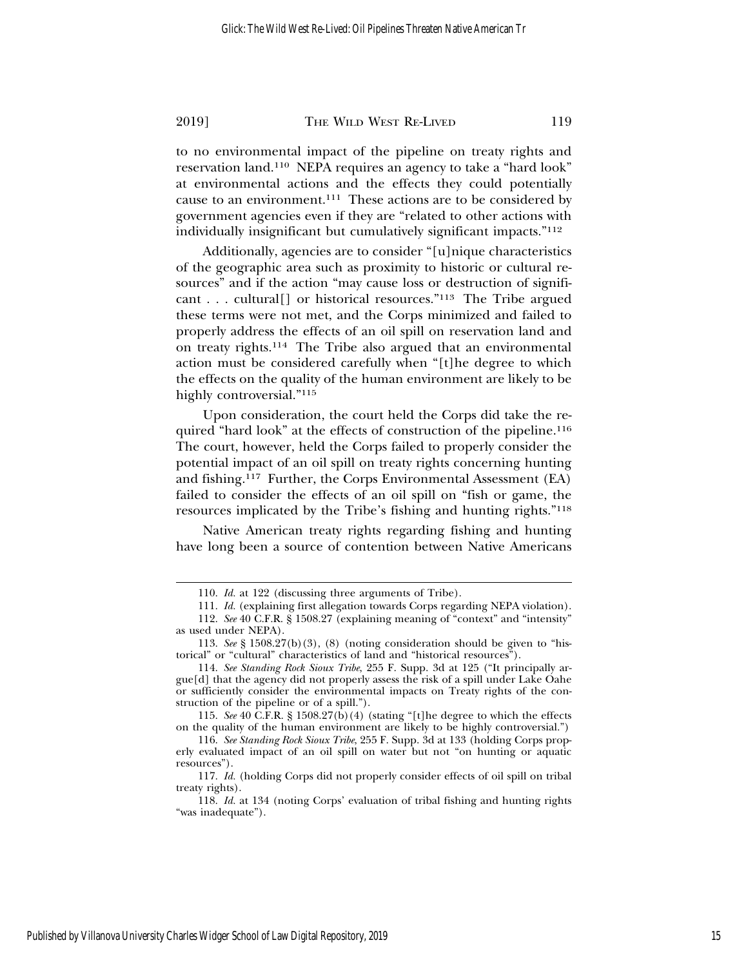to no environmental impact of the pipeline on treaty rights and reservation land.110 NEPA requires an agency to take a "hard look" at environmental actions and the effects they could potentially cause to an environment.111 These actions are to be considered by government agencies even if they are "related to other actions with individually insignificant but cumulatively significant impacts."112

Additionally, agencies are to consider "[u]nique characteristics of the geographic area such as proximity to historic or cultural resources" and if the action "may cause loss or destruction of significant . . . cultural[] or historical resources."113 The Tribe argued these terms were not met, and the Corps minimized and failed to properly address the effects of an oil spill on reservation land and on treaty rights.114 The Tribe also argued that an environmental action must be considered carefully when "[t]he degree to which the effects on the quality of the human environment are likely to be highly controversial."115

Upon consideration, the court held the Corps did take the required "hard look" at the effects of construction of the pipeline.<sup>116</sup> The court, however, held the Corps failed to properly consider the potential impact of an oil spill on treaty rights concerning hunting and fishing.117 Further, the Corps Environmental Assessment (EA) failed to consider the effects of an oil spill on "fish or game, the resources implicated by the Tribe's fishing and hunting rights."118

Native American treaty rights regarding fishing and hunting have long been a source of contention between Native Americans

<sup>110.</sup> *Id.* at 122 (discussing three arguments of Tribe).

<sup>111.</sup> *Id.* (explaining first allegation towards Corps regarding NEPA violation).

<sup>112.</sup> *See* 40 C.F.R. § 1508.27 (explaining meaning of "context" and "intensity" as used under NEPA).

<sup>113.</sup> *See* § 1508.27(b)(3), (8) (noting consideration should be given to "historical" or "cultural" characteristics of land and "historical resources").

<sup>114.</sup> *See Standing Rock Sioux Tribe*, 255 F. Supp. 3d at 125 ("It principally argue[d] that the agency did not properly assess the risk of a spill under Lake Oahe or sufficiently consider the environmental impacts on Treaty rights of the construction of the pipeline or of a spill.").

<sup>115.</sup> *See* 40 C.F.R. § 1508.27(b)(4) (stating "[t]he degree to which the effects on the quality of the human environment are likely to be highly controversial.")

<sup>116.</sup> *See Standing Rock Sioux Tribe*, 255 F. Supp. 3d at 133 (holding Corps properly evaluated impact of an oil spill on water but not "on hunting or aquatic resources").

<sup>117.</sup> *Id.* (holding Corps did not properly consider effects of oil spill on tribal treaty rights).

<sup>118.</sup> *Id.* at 134 (noting Corps' evaluation of tribal fishing and hunting rights "was inadequate").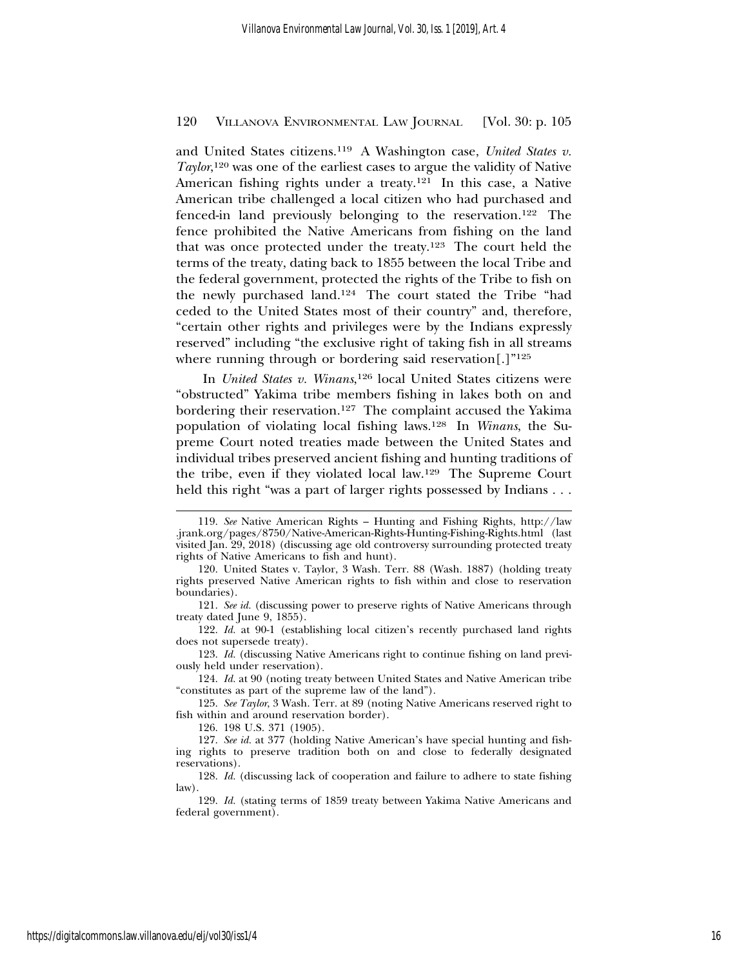and United States citizens.119 A Washington case, *United States v.* Taylor,<sup>120</sup> was one of the earliest cases to argue the validity of Native American fishing rights under a treaty.121 In this case, a Native American tribe challenged a local citizen who had purchased and fenced-in land previously belonging to the reservation.122 The fence prohibited the Native Americans from fishing on the land that was once protected under the treaty.123 The court held the terms of the treaty, dating back to 1855 between the local Tribe and the federal government, protected the rights of the Tribe to fish on the newly purchased land.124 The court stated the Tribe "had ceded to the United States most of their country" and, therefore, "certain other rights and privileges were by the Indians expressly reserved" including "the exclusive right of taking fish in all streams where running through or bordering said reservation[.]"<sup>125</sup>

In *United States v. Winans*, 126 local United States citizens were "obstructed" Yakima tribe members fishing in lakes both on and bordering their reservation.127 The complaint accused the Yakima population of violating local fishing laws.128 In *Winans*, the Supreme Court noted treaties made between the United States and individual tribes preserved ancient fishing and hunting traditions of the tribe, even if they violated local law.129 The Supreme Court held this right "was a part of larger rights possessed by Indians . . .

<sup>119.</sup> *See* Native American Rights – Hunting and Fishing Rights, http://law .jrank.org/pages/8750/Native-American-Rights-Hunting-Fishing-Rights.html (last visited Jan. 29, 2018) (discussing age old controversy surrounding protected treaty rights of Native Americans to fish and hunt).

<sup>120.</sup> United States v. Taylor, 3 Wash. Terr. 88 (Wash. 1887) (holding treaty rights preserved Native American rights to fish within and close to reservation boundaries).

<sup>121.</sup> *See id.* (discussing power to preserve rights of Native Americans through treaty dated June 9, 1855).

<sup>122.</sup> *Id.* at 90-1 (establishing local citizen's recently purchased land rights does not supersede treaty).

<sup>123.</sup> *Id.* (discussing Native Americans right to continue fishing on land previously held under reservation).

<sup>124.</sup> *Id.* at 90 (noting treaty between United States and Native American tribe "constitutes as part of the supreme law of the land").

<sup>125.</sup> *See Taylor*, 3 Wash. Terr. at 89 (noting Native Americans reserved right to fish within and around reservation border).

<sup>126. 198</sup> U.S. 371 (1905).

<sup>127.</sup> *See id.* at 377 (holding Native American's have special hunting and fishing rights to preserve tradition both on and close to federally designated reservations).

<sup>128.</sup> *Id.* (discussing lack of cooperation and failure to adhere to state fishing law).

<sup>129.</sup> *Id.* (stating terms of 1859 treaty between Yakima Native Americans and federal government).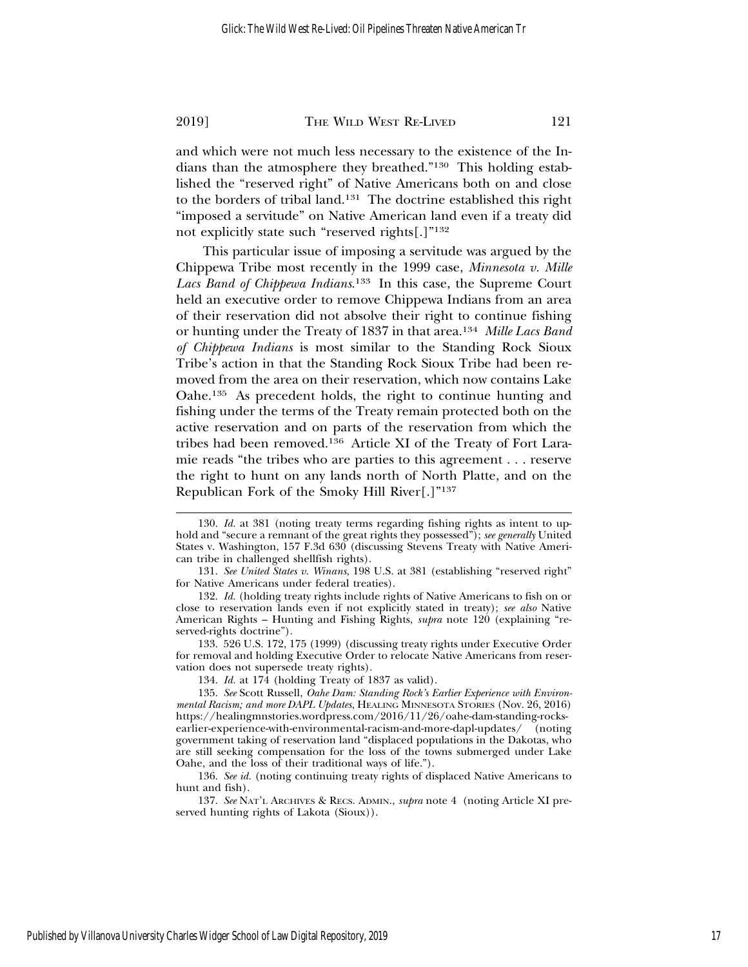and which were not much less necessary to the existence of the Indians than the atmosphere they breathed."130 This holding established the "reserved right" of Native Americans both on and close to the borders of tribal land.131 The doctrine established this right "imposed a servitude" on Native American land even if a treaty did not explicitly state such "reserved rights[.]"132

This particular issue of imposing a servitude was argued by the Chippewa Tribe most recently in the 1999 case, *Minnesota v. Mille Lacs Band of Chippewa Indians*. 133 In this case, the Supreme Court held an executive order to remove Chippewa Indians from an area of their reservation did not absolve their right to continue fishing or hunting under the Treaty of 1837 in that area.134 *Mille Lacs Band of Chippewa Indians* is most similar to the Standing Rock Sioux Tribe's action in that the Standing Rock Sioux Tribe had been removed from the area on their reservation, which now contains Lake Oahe.135 As precedent holds, the right to continue hunting and fishing under the terms of the Treaty remain protected both on the active reservation and on parts of the reservation from which the tribes had been removed.136 Article XI of the Treaty of Fort Laramie reads "the tribes who are parties to this agreement . . . reserve the right to hunt on any lands north of North Platte, and on the Republican Fork of the Smoky Hill River[.]"137

<sup>130.</sup> *Id.* at 381 (noting treaty terms regarding fishing rights as intent to uphold and "secure a remnant of the great rights they possessed"); *see generally* United States v. Washington, 157 F.3d 630 (discussing Stevens Treaty with Native American tribe in challenged shellfish rights).

<sup>131.</sup> *See United States v. Winans*, 198 U.S. at 381 (establishing "reserved right" for Native Americans under federal treaties).

<sup>132.</sup> *Id.* (holding treaty rights include rights of Native Americans to fish on or close to reservation lands even if not explicitly stated in treaty); *see also* Native American Rights – Hunting and Fishing Rights, *supra* note 120 (explaining "reserved-rights doctrine").

<sup>133. 526</sup> U.S. 172, 175 (1999) (discussing treaty rights under Executive Order for removal and holding Executive Order to relocate Native Americans from reservation does not supersede treaty rights).

<sup>134.</sup> *Id.* at 174 (holding Treaty of 1837 as valid).

<sup>135.</sup> *See* Scott Russell, *Oahe Dam: Standing Rock's Earlier Experience with Environmental Racism; and more DAPL Updates*, HEALING MINNESOTA STORIES (Nov. 26, 2016) https://healingmnstories.wordpress.com/2016/11/26/oahe-dam-standing-rocksearlier-experience-with-environmental-racism-and-more-dapl-updates/ (noting government taking of reservation land "displaced populations in the Dakotas, who are still seeking compensation for the loss of the towns submerged under Lake Oahe, and the loss of their traditional ways of life.").

<sup>136.</sup> *See id.* (noting continuing treaty rights of displaced Native Americans to hunt and fish).

<sup>137.</sup> *See* NAT'L ARCHIVES & RECS. ADMIN., *supra* note 4 (noting Article XI preserved hunting rights of Lakota (Sioux)).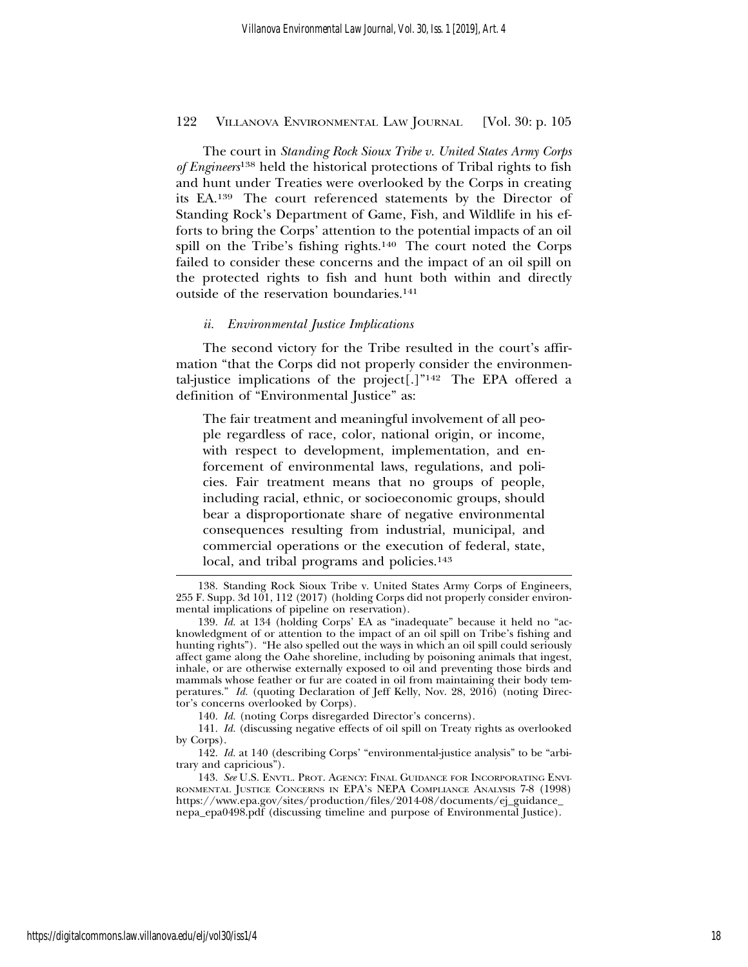The court in *Standing Rock Sioux Tribe v. United States Army Corps of Engineers*138 held the historical protections of Tribal rights to fish and hunt under Treaties were overlooked by the Corps in creating its EA.139 The court referenced statements by the Director of Standing Rock's Department of Game, Fish, and Wildlife in his efforts to bring the Corps' attention to the potential impacts of an oil spill on the Tribe's fishing rights.<sup>140</sup> The court noted the Corps failed to consider these concerns and the impact of an oil spill on the protected rights to fish and hunt both within and directly outside of the reservation boundaries.141

#### *ii. Environmental Justice Implications*

The second victory for the Tribe resulted in the court's affirmation "that the Corps did not properly consider the environmental-justice implications of the project[.]" $142$  The EPA offered a definition of "Environmental Justice" as:

The fair treatment and meaningful involvement of all people regardless of race, color, national origin, or income, with respect to development, implementation, and enforcement of environmental laws, regulations, and policies. Fair treatment means that no groups of people, including racial, ethnic, or socioeconomic groups, should bear a disproportionate share of negative environmental consequences resulting from industrial, municipal, and commercial operations or the execution of federal, state, local, and tribal programs and policies.<sup>143</sup>

140. *Id.* (noting Corps disregarded Director's concerns).

141. *Id.* (discussing negative effects of oil spill on Treaty rights as overlooked by Corps).

<sup>138.</sup> Standing Rock Sioux Tribe v. United States Army Corps of Engineers, 255 F. Supp. 3d 101, 112 (2017) (holding Corps did not properly consider environmental implications of pipeline on reservation).

<sup>139.</sup> *Id.* at 134 (holding Corps' EA as "inadequate" because it held no "acknowledgment of or attention to the impact of an oil spill on Tribe's fishing and hunting rights"). "He also spelled out the ways in which an oil spill could seriously affect game along the Oahe shoreline, including by poisoning animals that ingest, inhale, or are otherwise externally exposed to oil and preventing those birds and mammals whose feather or fur are coated in oil from maintaining their body temperatures." *Id.* (quoting Declaration of Jeff Kelly, Nov. 28, 2016) (noting Director's concerns overlooked by Corps).

<sup>142.</sup> *Id.* at 140 (describing Corps' "environmental-justice analysis" to be "arbitrary and capricious").

<sup>143.</sup> *See* U.S. ENVTL. PROT. AGENCY: FINAL GUIDANCE FOR INCORPORATING ENVI-RONMENTAL JUSTICE CONCERNS IN EPA'S NEPA COMPLIANCE ANALYSIS 7-8 (1998) https://www.epa.gov/sites/production/files/2014-08/documents/ej\_guidance\_ nepa\_epa0498.pdf (discussing timeline and purpose of Environmental Justice).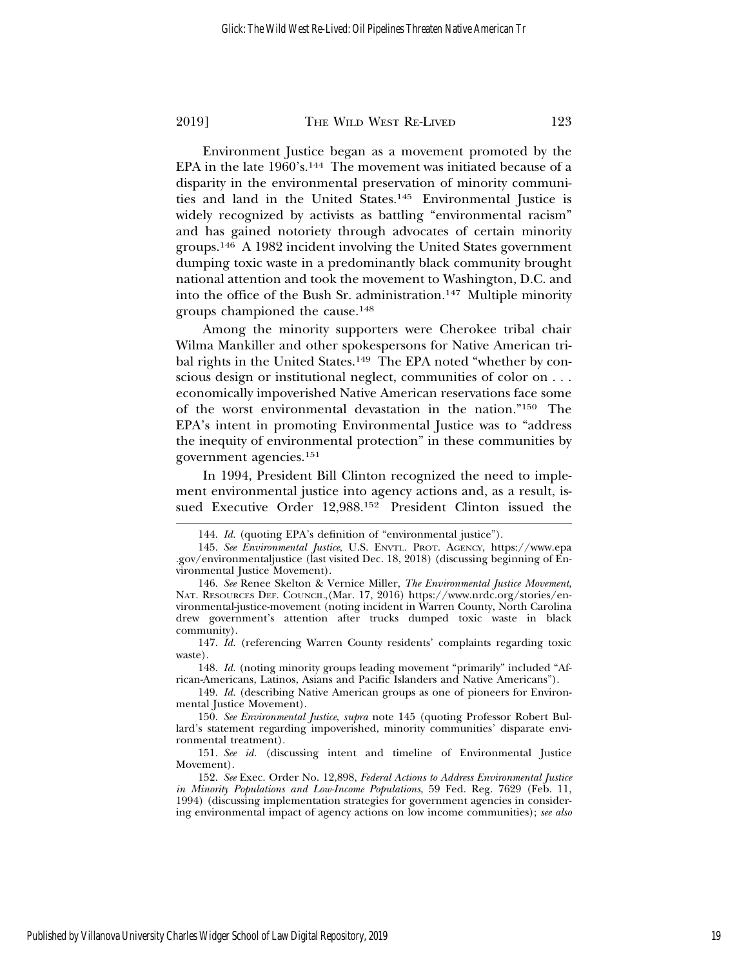Environment Justice began as a movement promoted by the EPA in the late 1960's.144 The movement was initiated because of a disparity in the environmental preservation of minority communities and land in the United States.145 Environmental Justice is widely recognized by activists as battling "environmental racism" and has gained notoriety through advocates of certain minority groups.146 A 1982 incident involving the United States government dumping toxic waste in a predominantly black community brought national attention and took the movement to Washington, D.C. and into the office of the Bush Sr. administration.147 Multiple minority groups championed the cause.148

Among the minority supporters were Cherokee tribal chair Wilma Mankiller and other spokespersons for Native American tribal rights in the United States.<sup>149</sup> The EPA noted "whether by conscious design or institutional neglect, communities of color on . . . economically impoverished Native American reservations face some of the worst environmental devastation in the nation."150 The EPA's intent in promoting Environmental Justice was to "address the inequity of environmental protection" in these communities by government agencies.151

In 1994, President Bill Clinton recognized the need to implement environmental justice into agency actions and, as a result, issued Executive Order 12,988.152 President Clinton issued the

148. *Id.* (noting minority groups leading movement "primarily" included "African-Americans, Latinos, Asians and Pacific Islanders and Native Americans").

149. *Id.* (describing Native American groups as one of pioneers for Environmental Justice Movement).

150. *See Environmental Justice*, *supra* note 145 (quoting Professor Robert Bullard's statement regarding impoverished, minority communities' disparate environmental treatment).

<sup>144.</sup> *Id.* (quoting EPA's definition of "environmental justice").

<sup>145.</sup> *See Environmental Justice*, U.S. ENVTL. PROT. AGENCY, https://www.epa .gov/environmentaljustice (last visited Dec. 18, 2018) (discussing beginning of Environmental Justice Movement).

<sup>146.</sup> *See* Renee Skelton & Vernice Miller, *The Environmental Justice Movement*, NAT. RESOURCES DEF. COUNCIL,(Mar. 17, 2016) https://www.nrdc.org/stories/environmental-justice-movement (noting incident in Warren County, North Carolina drew government's attention after trucks dumped toxic waste in black community).

<sup>147.</sup> *Id.* (referencing Warren County residents' complaints regarding toxic waste).

<sup>151.</sup> *See id.* (discussing intent and timeline of Environmental Justice Movement).

<sup>152.</sup> *See* Exec. Order No. 12,898, *Federal Actions to Address Environmental Justice in Minority Populations and Low-Income Populations*, 59 Fed. Reg. 7629 (Feb. 11, 1994) (discussing implementation strategies for government agencies in considering environmental impact of agency actions on low income communities); *see also*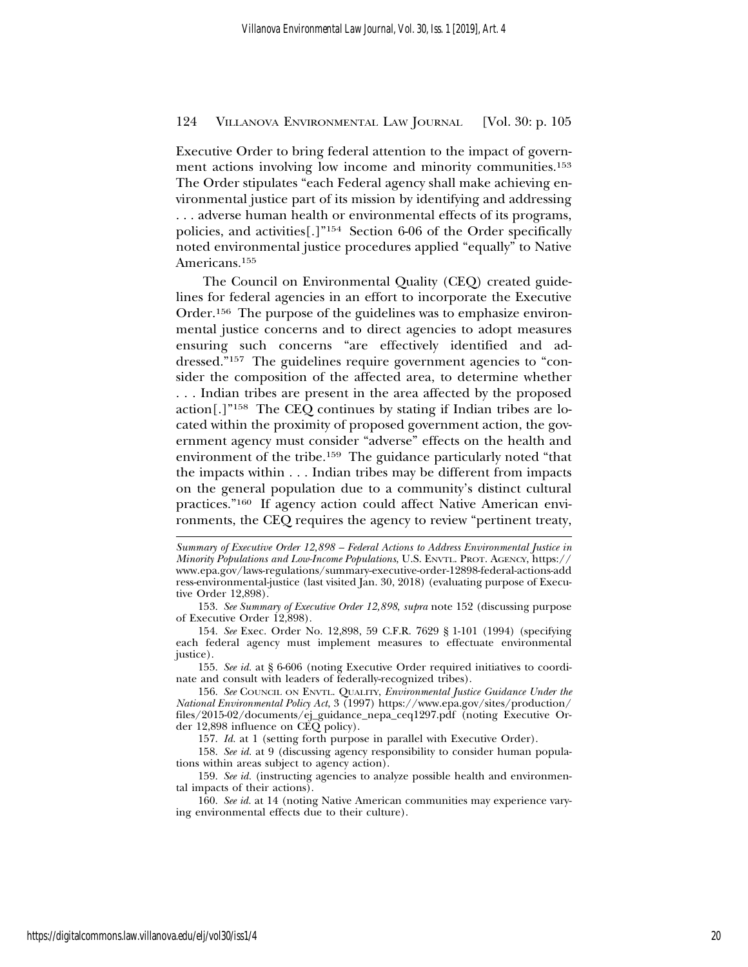Executive Order to bring federal attention to the impact of government actions involving low income and minority communities.<sup>153</sup> The Order stipulates "each Federal agency shall make achieving environmental justice part of its mission by identifying and addressing . . . adverse human health or environmental effects of its programs, policies, and activities[.]"154 Section 6-06 of the Order specifically noted environmental justice procedures applied "equally" to Native Americans.155

The Council on Environmental Quality (CEQ) created guidelines for federal agencies in an effort to incorporate the Executive Order.156 The purpose of the guidelines was to emphasize environmental justice concerns and to direct agencies to adopt measures ensuring such concerns "are effectively identified and addressed."157 The guidelines require government agencies to "consider the composition of the affected area, to determine whether . . . Indian tribes are present in the area affected by the proposed action[.]"158 The CEQ continues by stating if Indian tribes are located within the proximity of proposed government action, the government agency must consider "adverse" effects on the health and environment of the tribe.159 The guidance particularly noted "that the impacts within . . . Indian tribes may be different from impacts on the general population due to a community's distinct cultural practices."160 If agency action could affect Native American environments, the CEQ requires the agency to review "pertinent treaty,

155. *See id.* at § 6-606 (noting Executive Order required initiatives to coordinate and consult with leaders of federally-recognized tribes).

156. *See* COUNCIL ON ENVTL. QUALITY, *Environmental Justice Guidance Under the National Environmental Policy Act*, 3 (1997) https://www.epa.gov/sites/production/ files/2015-02/documents/ej\_guidance\_nepa\_ceq1297.pdf (noting Executive Order 12,898 influence on CEQ policy).

157. *Id.* at 1 (setting forth purpose in parallel with Executive Order).

158. *See id.* at 9 (discussing agency responsibility to consider human populations within areas subject to agency action).

159. *See id.* (instructing agencies to analyze possible health and environmental impacts of their actions).

160. *See id.* at 14 (noting Native American communities may experience varying environmental effects due to their culture).

*Summary of Executive Order 12,898 – Federal Actions to Address Environmental Justice in Minority Populations and Low-Income Populations*, U.S. ENVTL. PROT. AGENCY, https:// www.epa.gov/laws-regulations/summary-executive-order-12898-federal-actions-add ress-environmental-justice (last visited Jan. 30, 2018) (evaluating purpose of Executive Order 12,898).

<sup>153.</sup> *See Summary of Executive Order 12,898*, *supra* note 152 (discussing purpose of Executive Order 12,898).

<sup>154.</sup> *See* Exec. Order No. 12,898, 59 C.F.R. 7629 § 1-101 (1994) (specifying each federal agency must implement measures to effectuate environmental justice).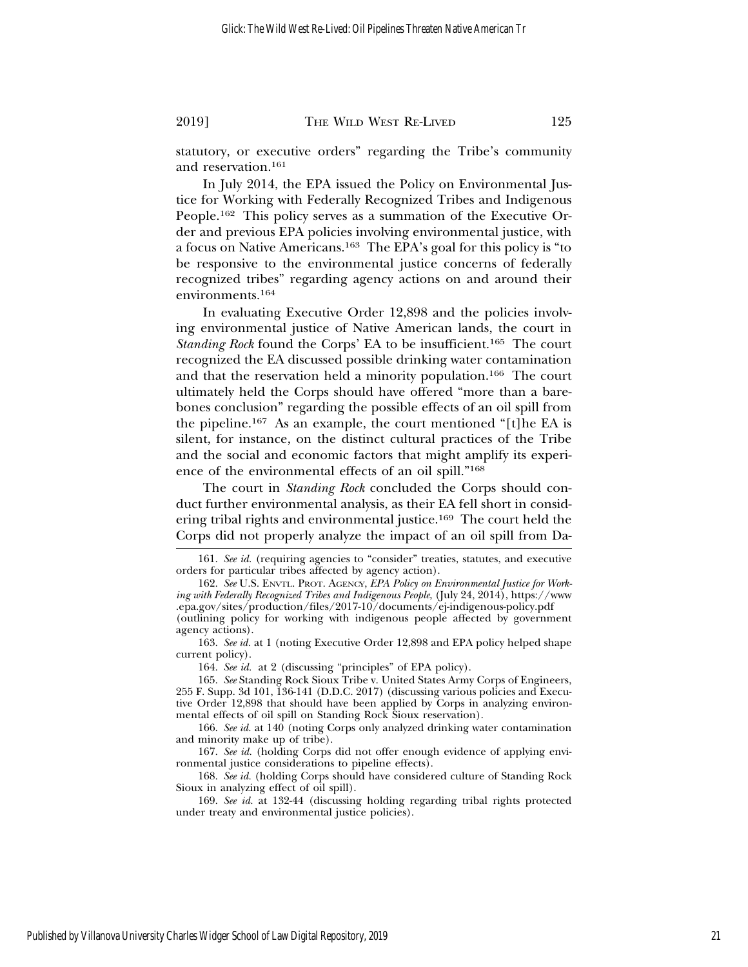statutory, or executive orders" regarding the Tribe's community and reservation.161

In July 2014, the EPA issued the Policy on Environmental Justice for Working with Federally Recognized Tribes and Indigenous People.162 This policy serves as a summation of the Executive Order and previous EPA policies involving environmental justice, with a focus on Native Americans.163 The EPA's goal for this policy is "to be responsive to the environmental justice concerns of federally recognized tribes" regarding agency actions on and around their environments.164

In evaluating Executive Order 12,898 and the policies involving environmental justice of Native American lands, the court in *Standing Rock* found the Corps' EA to be insufficient.165 The court recognized the EA discussed possible drinking water contamination and that the reservation held a minority population.166 The court ultimately held the Corps should have offered "more than a barebones conclusion" regarding the possible effects of an oil spill from the pipeline.167 As an example, the court mentioned "[t]he EA is silent, for instance, on the distinct cultural practices of the Tribe and the social and economic factors that might amplify its experience of the environmental effects of an oil spill."168

The court in *Standing Rock* concluded the Corps should conduct further environmental analysis, as their EA fell short in considering tribal rights and environmental justice.169 The court held the Corps did not properly analyze the impact of an oil spill from Da-

164. *See id.* at 2 (discussing "principles" of EPA policy).

<sup>161.</sup> *See id.* (requiring agencies to "consider" treaties, statutes, and executive orders for particular tribes affected by agency action).

<sup>162.</sup> *See* U.S. ENVTL. PROT. AGENCY, *EPA Policy on Environmental Justice for Working with Federally Recognized Tribes and Indigenous People*, (July 24, 2014), https://www .epa.gov/sites/production/files/2017-10/documents/ej-indigenous-policy.pdf (outlining policy for working with indigenous people affected by government agency actions).

<sup>163.</sup> *See id.* at 1 (noting Executive Order 12,898 and EPA policy helped shape current policy).

<sup>165.</sup> *See* Standing Rock Sioux Tribe v. United States Army Corps of Engineers, 255 F. Supp. 3d 101, 136-141 (D.D.C. 2017) (discussing various policies and Executive Order 12,898 that should have been applied by Corps in analyzing environmental effects of oil spill on Standing Rock Sioux reservation).

<sup>166.</sup> *See id.* at 140 (noting Corps only analyzed drinking water contamination and minority make up of tribe).

<sup>167.</sup> *See id.* (holding Corps did not offer enough evidence of applying environmental justice considerations to pipeline effects).

<sup>168.</sup> *See id.* (holding Corps should have considered culture of Standing Rock Sioux in analyzing effect of oil spill).

<sup>169.</sup> *See id.* at 132-44 (discussing holding regarding tribal rights protected under treaty and environmental justice policies).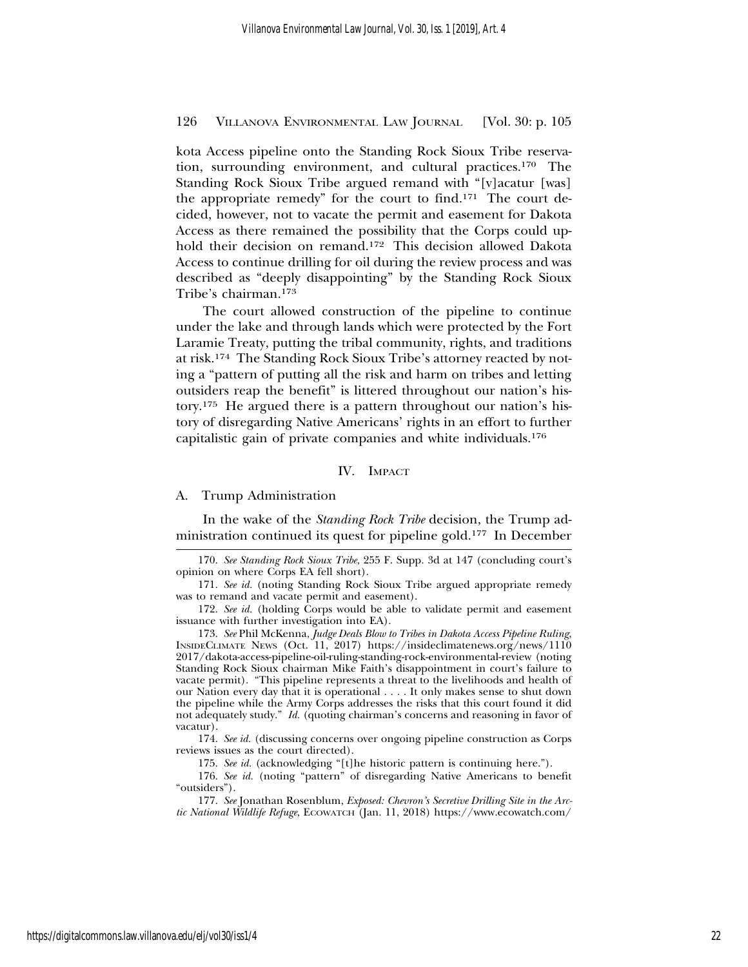kota Access pipeline onto the Standing Rock Sioux Tribe reservation, surrounding environment, and cultural practices.170 The Standing Rock Sioux Tribe argued remand with "[v]acatur [was] the appropriate remedy" for the court to find.171 The court decided, however, not to vacate the permit and easement for Dakota Access as there remained the possibility that the Corps could uphold their decision on remand.172 This decision allowed Dakota Access to continue drilling for oil during the review process and was described as "deeply disappointing" by the Standing Rock Sioux Tribe's chairman.173

The court allowed construction of the pipeline to continue under the lake and through lands which were protected by the Fort Laramie Treaty, putting the tribal community, rights, and traditions at risk.174 The Standing Rock Sioux Tribe's attorney reacted by noting a "pattern of putting all the risk and harm on tribes and letting outsiders reap the benefit" is littered throughout our nation's history.175 He argued there is a pattern throughout our nation's history of disregarding Native Americans' rights in an effort to further capitalistic gain of private companies and white individuals.176

# IV. IMPACT

## A. Trump Administration

In the wake of the *Standing Rock Tribe* decision, the Trump administration continued its quest for pipeline gold.177 In December

173. *See* Phil McKenna, *Judge Deals Blow to Tribes in Dakota Access Pipeline Ruling*, INSIDECLIMATE NEWS (Oct. 11, 2017) https://insideclimatenews.org/news/1110 2017/dakota-access-pipeline-oil-ruling-standing-rock-environmental-review (noting Standing Rock Sioux chairman Mike Faith's disappointment in court's failure to vacate permit). "This pipeline represents a threat to the livelihoods and health of our Nation every day that it is operational . . . . It only makes sense to shut down the pipeline while the Army Corps addresses the risks that this court found it did not adequately study." *Id.* (quoting chairman's concerns and reasoning in favor of vacatur).

174. *See id.* (discussing concerns over ongoing pipeline construction as Corps reviews issues as the court directed).

<sup>170.</sup> *See Standing Rock Sioux Tribe*, 255 F. Supp. 3d at 147 (concluding court's opinion on where Corps EA fell short).

<sup>171.</sup> *See id.* (noting Standing Rock Sioux Tribe argued appropriate remedy was to remand and vacate permit and easement).

<sup>172.</sup> *See id.* (holding Corps would be able to validate permit and easement issuance with further investigation into EA).

<sup>175.</sup> *See id.* (acknowledging "[t]he historic pattern is continuing here.").

<sup>176.</sup> *See id.* (noting "pattern" of disregarding Native Americans to benefit "outsiders").

<sup>177.</sup> *See* Jonathan Rosenblum, *Exposed: Chevron's Secretive Drilling Site in the Arctic National Wildlife Refuge*, ECOWATCH (Jan. 11, 2018) https://www.ecowatch.com/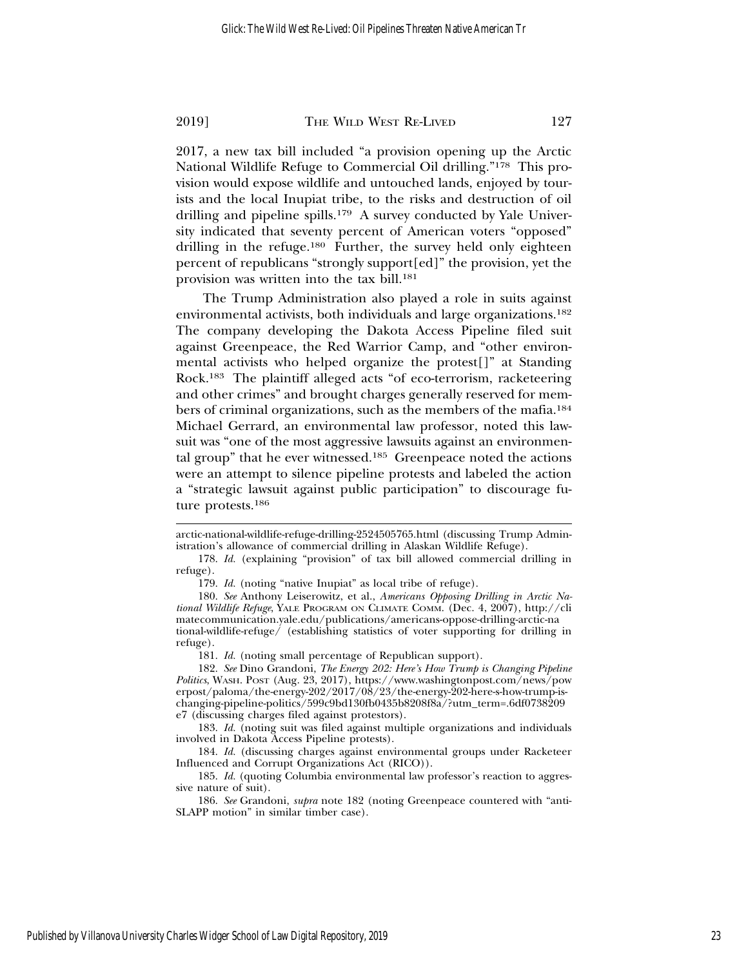2017, a new tax bill included "a provision opening up the Arctic National Wildlife Refuge to Commercial Oil drilling."178 This provision would expose wildlife and untouched lands, enjoyed by tourists and the local Inupiat tribe, to the risks and destruction of oil drilling and pipeline spills.<sup>179</sup> A survey conducted by Yale University indicated that seventy percent of American voters "opposed" drilling in the refuge.<sup>180</sup> Further, the survey held only eighteen percent of republicans "strongly support[ed]" the provision, yet the provision was written into the tax bill.181

The Trump Administration also played a role in suits against environmental activists, both individuals and large organizations.182 The company developing the Dakota Access Pipeline filed suit against Greenpeace, the Red Warrior Camp, and "other environmental activists who helped organize the protest[]" at Standing Rock.183 The plaintiff alleged acts "of eco-terrorism, racketeering and other crimes" and brought charges generally reserved for members of criminal organizations, such as the members of the mafia.184 Michael Gerrard, an environmental law professor, noted this lawsuit was "one of the most aggressive lawsuits against an environmental group" that he ever witnessed.185 Greenpeace noted the actions were an attempt to silence pipeline protests and labeled the action a "strategic lawsuit against public participation" to discourage future protests.186

arctic-national-wildlife-refuge-drilling-2524505765.html (discussing Trump Administration's allowance of commercial drilling in Alaskan Wildlife Refuge).

<sup>178.</sup> *Id.* (explaining "provision" of tax bill allowed commercial drilling in refuge).

<sup>179.</sup> *Id.* (noting "native Inupiat" as local tribe of refuge).

<sup>180.</sup> *See* Anthony Leiserowitz, et al., *Americans Opposing Drilling in Arctic National Wildlife Refuge*, YALE PROGRAM ON CLIMATE COMM. (Dec. 4, 2007), http://cli matecommunication.yale.edu/publications/americans-oppose-drilling-arctic-na tional-wildlife-refuge/ (establishing statistics of voter supporting for drilling in refuge).

<sup>181.</sup> *Id.* (noting small percentage of Republican support).

<sup>182.</sup> *See* Dino Grandoni, *The Energy 202: Here's How Trump is Changing Pipeline Politics*, WASH. POST (Aug. 23, 2017), https://www.washingtonpost.com/news/pow erpost/paloma/the-energy-202/2017/08/23/the-energy-202-here-s-how-trump-ischanging-pipeline-politics/599c9bd130fb0435b8208f8a/?utm\_term=.6df0738209 e7 (discussing charges filed against protestors).

<sup>183.</sup> *Id.* (noting suit was filed against multiple organizations and individuals involved in Dakota Access Pipeline protests).

<sup>184.</sup> *Id.* (discussing charges against environmental groups under Racketeer Influenced and Corrupt Organizations Act (RICO)).

<sup>185.</sup> *Id.* (quoting Columbia environmental law professor's reaction to aggressive nature of suit).

<sup>186.</sup> *See* Grandoni, *supra* note 182 (noting Greenpeace countered with "anti-SLAPP motion" in similar timber case).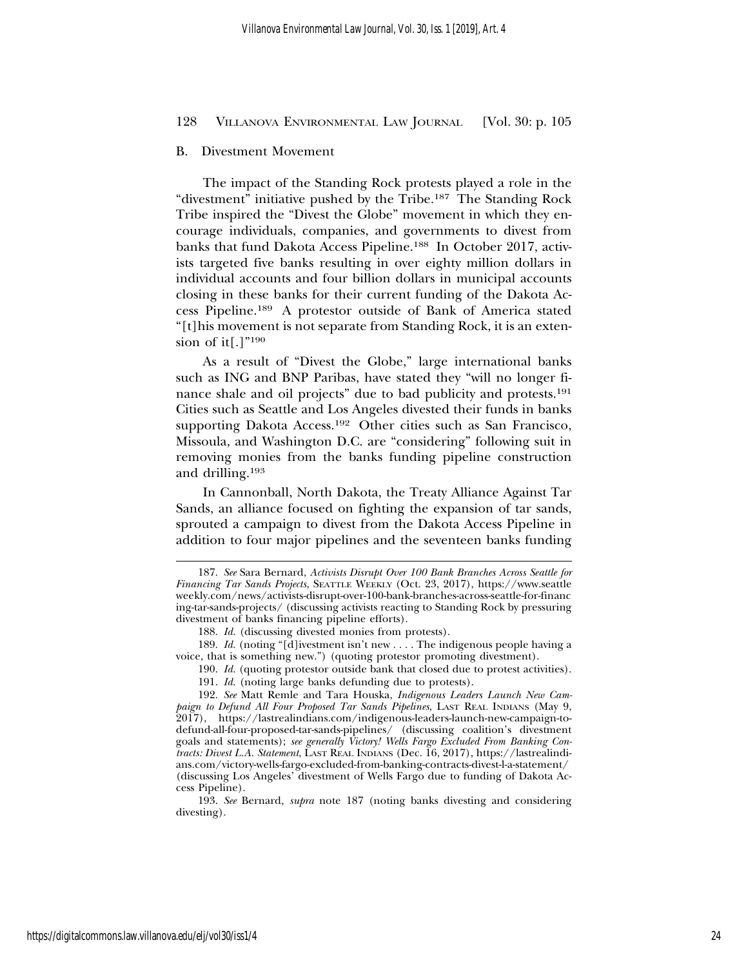## B. Divestment Movement

The impact of the Standing Rock protests played a role in the "divestment" initiative pushed by the Tribe.187 The Standing Rock Tribe inspired the "Divest the Globe" movement in which they encourage individuals, companies, and governments to divest from banks that fund Dakota Access Pipeline.188 In October 2017, activists targeted five banks resulting in over eighty million dollars in individual accounts and four billion dollars in municipal accounts closing in these banks for their current funding of the Dakota Access Pipeline.189 A protestor outside of Bank of America stated "[t]his movement is not separate from Standing Rock, it is an extension of it[.] $"^{190}$ 

As a result of "Divest the Globe," large international banks such as ING and BNP Paribas, have stated they "will no longer finance shale and oil projects" due to bad publicity and protests.191 Cities such as Seattle and Los Angeles divested their funds in banks supporting Dakota Access.192 Other cities such as San Francisco, Missoula, and Washington D.C. are "considering" following suit in removing monies from the banks funding pipeline construction and drilling.193

In Cannonball, North Dakota, the Treaty Alliance Against Tar Sands, an alliance focused on fighting the expansion of tar sands, sprouted a campaign to divest from the Dakota Access Pipeline in addition to four major pipelines and the seventeen banks funding

<sup>187.</sup> *See* Sara Bernard, *Activists Disrupt Over 100 Bank Branches Across Seattle for Financing Tar Sands Projects*, SEATTLE WEEKLY (Oct. 23, 2017), https://www.seattle weekly.com/news/activists-disrupt-over-100-bank-branches-across-seattle-for-financ ing-tar-sands-projects/ (discussing activists reacting to Standing Rock by pressuring divestment of banks financing pipeline efforts).

<sup>188.</sup> *Id.* (discussing divested monies from protests).

<sup>189.</sup> *Id.* (noting "[d]ivestment isn't new . . . . The indigenous people having a voice, that is something new.") (quoting protestor promoting divestment).

<sup>190.</sup> *Id.* (quoting protestor outside bank that closed due to protest activities). 191. *Id.* (noting large banks defunding due to protests).

<sup>192.</sup> *See* Matt Remle and Tara Houska, *Indigenous Leaders Launch New Campaign to Defund All Four Proposed Tar Sands Pipelines*, LAST REAL INDIANS (May 9, 2017), https://lastrealindians.com/indigenous-leaders-launch-new-campaign-todefund-all-four-proposed-tar-sands-pipelines/ (discussing coalition's divestment goals and statements); *see generally Victory! Wells Fargo Excluded From Banking Contracts: Divest L.A. Statement*, LAST REAL INDIANS (Dec. 16, 2017), https://lastrealindians.com/victory-wells-fargo-excluded-from-banking-contracts-divest-l-a-statement/ (discussing Los Angeles' divestment of Wells Fargo due to funding of Dakota Ac-

cess Pipeline).

<sup>193.</sup> *See* Bernard, *supra* note 187 (noting banks divesting and considering divesting).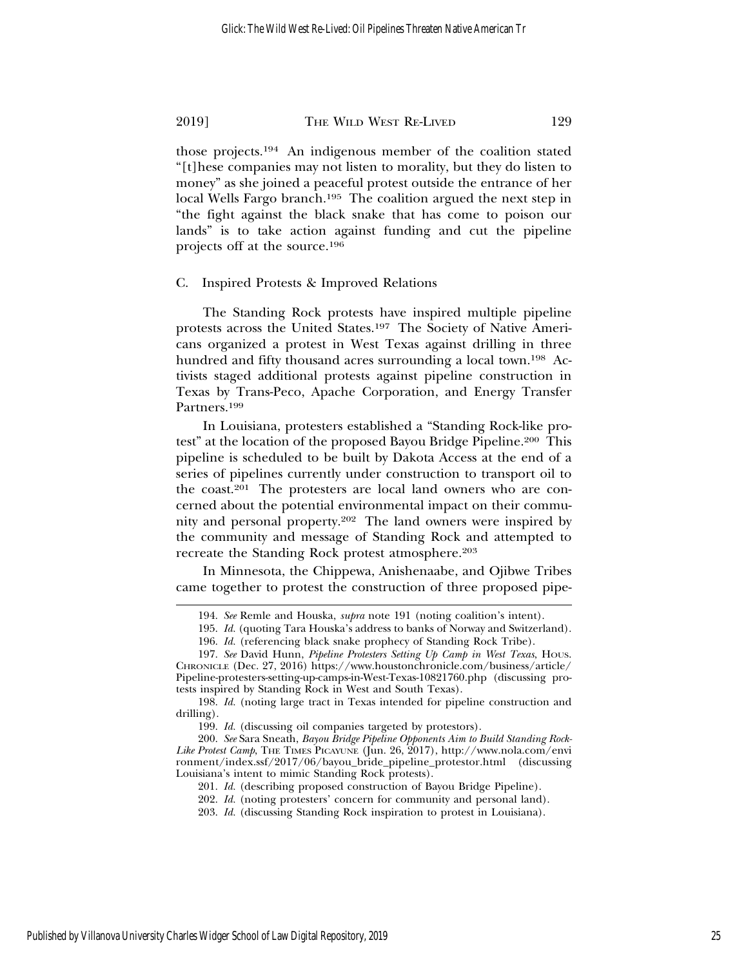those projects.194 An indigenous member of the coalition stated "[t]hese companies may not listen to morality, but they do listen to money" as she joined a peaceful protest outside the entrance of her local Wells Fargo branch.<sup>195</sup> The coalition argued the next step in "the fight against the black snake that has come to poison our lands" is to take action against funding and cut the pipeline projects off at the source.196

# C. Inspired Protests & Improved Relations

The Standing Rock protests have inspired multiple pipeline protests across the United States.197 The Society of Native Americans organized a protest in West Texas against drilling in three hundred and fifty thousand acres surrounding a local town.<sup>198</sup> Activists staged additional protests against pipeline construction in Texas by Trans-Peco, Apache Corporation, and Energy Transfer Partners.199

In Louisiana, protesters established a "Standing Rock-like protest" at the location of the proposed Bayou Bridge Pipeline.200 This pipeline is scheduled to be built by Dakota Access at the end of a series of pipelines currently under construction to transport oil to the coast.201 The protesters are local land owners who are concerned about the potential environmental impact on their community and personal property.202 The land owners were inspired by the community and message of Standing Rock and attempted to recreate the Standing Rock protest atmosphere.<sup>203</sup>

In Minnesota, the Chippewa, Anishenaabe, and Ojibwe Tribes came together to protest the construction of three proposed pipe-

<sup>194.</sup> *See* Remle and Houska, *supra* note 191 (noting coalition's intent).

<sup>195.</sup> *Id.* (quoting Tara Houska's address to banks of Norway and Switzerland).

<sup>196.</sup> *Id.* (referencing black snake prophecy of Standing Rock Tribe).

<sup>197.</sup> *See* David Hunn, *Pipeline Protesters Setting Up Camp in West Texas*, HOUS. CHRONICLE (Dec. 27, 2016) https://www.houstonchronicle.com/business/article/ Pipeline-protesters-setting-up-camps-in-West-Texas-10821760.php (discussing protests inspired by Standing Rock in West and South Texas).

<sup>198.</sup> *Id.* (noting large tract in Texas intended for pipeline construction and drilling).

<sup>199.</sup> *Id.* (discussing oil companies targeted by protestors).

<sup>200.</sup> *See* Sara Sneath, *Bayou Bridge Pipeline Opponents Aim to Build Standing Rock-*Like Protest Camp, THE TIMES PICAYUNE (Jun. 26, 2017), http://www.nola.com/envi ronment/index.ssf/2017/06/bayou\_bride\_pipeline\_protestor.html (discussing Louisiana's intent to mimic Standing Rock protests).

<sup>201.</sup> *Id.* (describing proposed construction of Bayou Bridge Pipeline).

<sup>202.</sup> *Id.* (noting protesters' concern for community and personal land).

<sup>203.</sup> *Id.* (discussing Standing Rock inspiration to protest in Louisiana).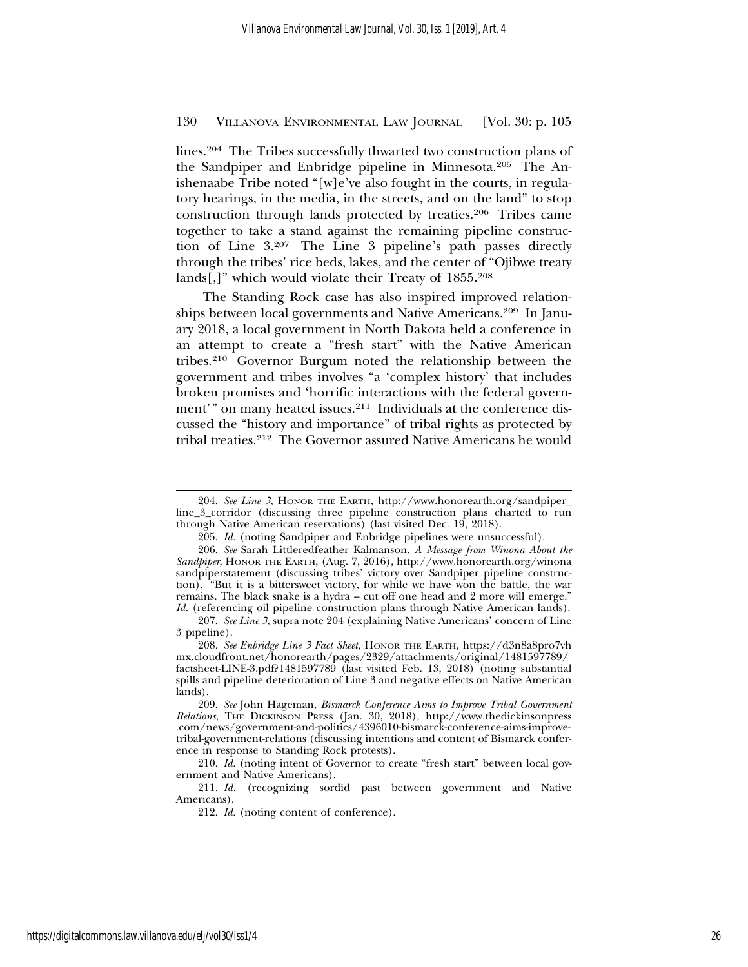lines.204 The Tribes successfully thwarted two construction plans of the Sandpiper and Enbridge pipeline in Minnesota.205 The Anishenaabe Tribe noted "[w]e've also fought in the courts, in regulatory hearings, in the media, in the streets, and on the land" to stop construction through lands protected by treaties.206 Tribes came together to take a stand against the remaining pipeline construction of Line 3.207 The Line 3 pipeline's path passes directly through the tribes' rice beds, lakes, and the center of "Ojibwe treaty lands[,]" which would violate their Treaty of 1855.208

The Standing Rock case has also inspired improved relationships between local governments and Native Americans.209 In January 2018, a local government in North Dakota held a conference in an attempt to create a "fresh start" with the Native American tribes.210 Governor Burgum noted the relationship between the government and tribes involves "a 'complex history' that includes broken promises and 'horrific interactions with the federal government'" on many heated issues.<sup>211</sup> Individuals at the conference discussed the "history and importance" of tribal rights as protected by tribal treaties.212 The Governor assured Native Americans he would

<sup>204.</sup> *See Line 3*, HONOR THE EARTH, http://www.honorearth.org/sandpiper\_ line\_3\_corridor (discussing three pipeline construction plans charted to run through Native American reservations) (last visited Dec. 19, 2018).

<sup>205.</sup> *Id.* (noting Sandpiper and Enbridge pipelines were unsuccessful).

<sup>206.</sup> *See* Sarah Littleredfeather Kalmanson, *A Message from Winona About the Sandpiper*, HONOR THE EARTH, (Aug. 7, 2016), http://www.honorearth.org/winona sandpiperstatement (discussing tribes' victory over Sandpiper pipeline construction). "But it is a bittersweet victory, for while we have won the battle, the war remains. The black snake is a hydra – cut off one head and 2 more will emerge." *Id.* (referencing oil pipeline construction plans through Native American lands).

<sup>207.</sup> *See Line 3*, supra note 204 (explaining Native Americans' concern of Line 3 pipeline).

<sup>208.</sup> *See Enbridge Line 3 Fact Sheet*, HONOR THE EARTH, https://d3n8a8pro7vh mx.cloudfront.net/honorearth/pages/2329/attachments/original/1481597789/ factsheet-LINE-3.pdf?1481597789 (last visited Feb. 13, 2018) (noting substantial spills and pipeline deterioration of Line 3 and negative effects on Native American lands).

<sup>209.</sup> *See* John Hageman, *Bismarck Conference Aims to Improve Tribal Government Relations*, THE DICKINSON PRESS (Jan. 30, 2018), http://www.thedickinsonpress .com/news/government-and-politics/4396010-bismarck-conference-aims-improvetribal-government-relations (discussing intentions and content of Bismarck conference in response to Standing Rock protests).

<sup>210.</sup> *Id.* (noting intent of Governor to create "fresh start" between local government and Native Americans).

<sup>211.</sup> *Id.* (recognizing sordid past between government and Native Americans).

<sup>212.</sup> *Id.* (noting content of conference).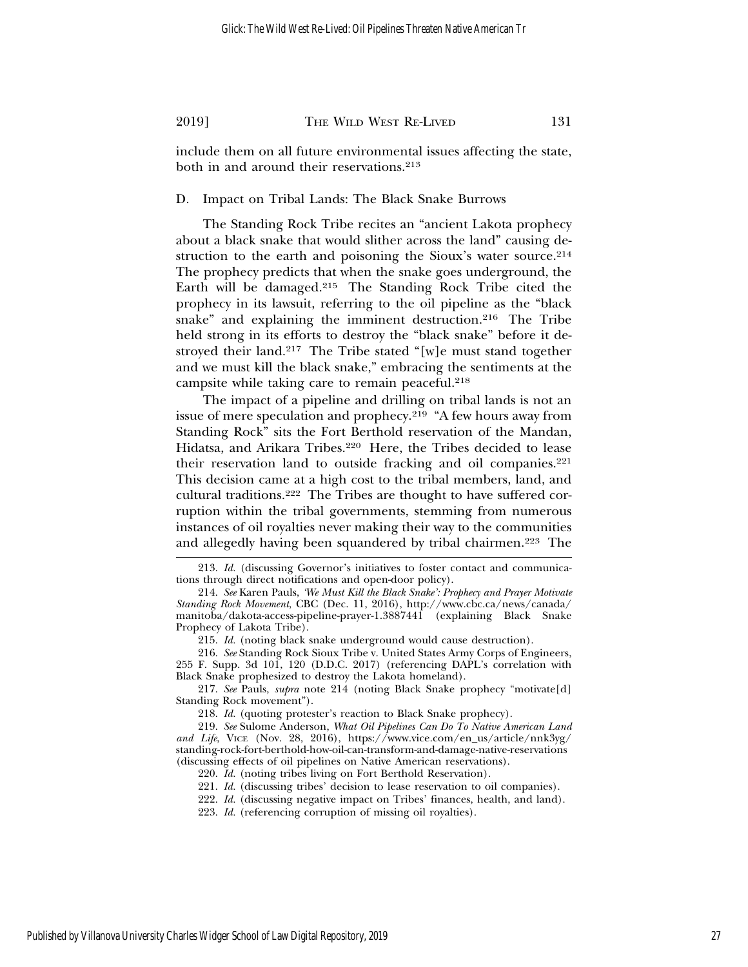include them on all future environmental issues affecting the state, both in and around their reservations.<sup>213</sup>

D. Impact on Tribal Lands: The Black Snake Burrows

The Standing Rock Tribe recites an "ancient Lakota prophecy about a black snake that would slither across the land" causing destruction to the earth and poisoning the Sioux's water source.<sup>214</sup> The prophecy predicts that when the snake goes underground, the Earth will be damaged.215 The Standing Rock Tribe cited the prophecy in its lawsuit, referring to the oil pipeline as the "black snake" and explaining the imminent destruction.<sup>216</sup> The Tribe held strong in its efforts to destroy the "black snake" before it destroyed their land.217 The Tribe stated "[w]e must stand together and we must kill the black snake," embracing the sentiments at the campsite while taking care to remain peaceful.218

The impact of a pipeline and drilling on tribal lands is not an issue of mere speculation and prophecy.<sup>219</sup> "A few hours away from Standing Rock" sits the Fort Berthold reservation of the Mandan, Hidatsa, and Arikara Tribes.<sup>220</sup> Here, the Tribes decided to lease their reservation land to outside fracking and oil companies.<sup>221</sup> This decision came at a high cost to the tribal members, land, and cultural traditions.222 The Tribes are thought to have suffered corruption within the tribal governments, stemming from numerous instances of oil royalties never making their way to the communities and allegedly having been squandered by tribal chairmen.223 The

<sup>213.</sup> *Id.* (discussing Governor's initiatives to foster contact and communications through direct notifications and open-door policy).

<sup>214.</sup> *See* Karen Pauls, *'We Must Kill the Black Snake': Prophecy and Prayer Motivate Standing Rock Movement*, CBC (Dec. 11, 2016), http://www.cbc.ca/news/canada/ manitoba/dakota-access-pipeline-prayer-1.3887441 (explaining Black Snake Prophecy of Lakota Tribe).

<sup>215.</sup> *Id.* (noting black snake underground would cause destruction).

<sup>216.</sup> *See* Standing Rock Sioux Tribe v. United States Army Corps of Engineers, 255 F. Supp. 3d 101, 120 (D.D.C. 2017) (referencing DAPL's correlation with Black Snake prophesized to destroy the Lakota homeland).

<sup>217.</sup> *See* Pauls, *supra* note 214 (noting Black Snake prophecy "motivate[d] Standing Rock movement").

<sup>218.</sup> *Id.* (quoting protester's reaction to Black Snake prophecy).

<sup>219.</sup> *See* Sulome Anderson, *What Oil Pipelines Can Do To Native American Land and Life*, VICE (Nov. 28, 2016), https://www.vice.com/en\_us/article/nnk3yg/ standing-rock-fort-berthold-how-oil-can-transform-and-damage-native-reservations (discussing effects of oil pipelines on Native American reservations).

<sup>220.</sup> *Id.* (noting tribes living on Fort Berthold Reservation).

<sup>221.</sup> *Id.* (discussing tribes' decision to lease reservation to oil companies).

<sup>222.</sup> *Id.* (discussing negative impact on Tribes' finances, health, and land).

<sup>223.</sup> *Id.* (referencing corruption of missing oil royalties).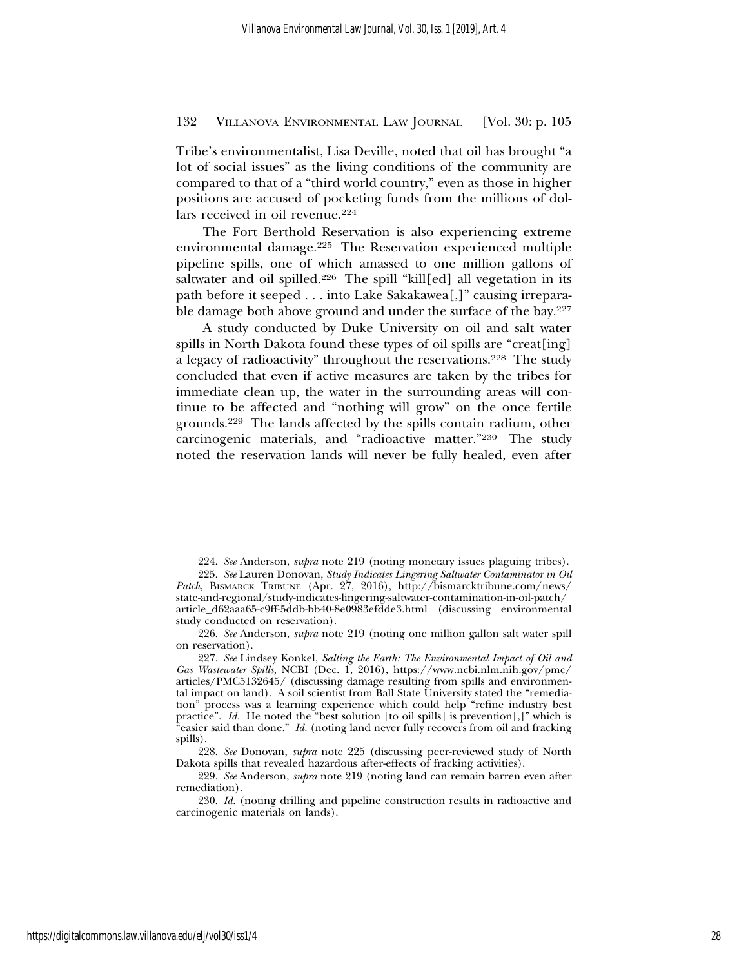Tribe's environmentalist, Lisa Deville, noted that oil has brought "a lot of social issues" as the living conditions of the community are compared to that of a "third world country," even as those in higher positions are accused of pocketing funds from the millions of dollars received in oil revenue.224

The Fort Berthold Reservation is also experiencing extreme environmental damage.225 The Reservation experienced multiple pipeline spills, one of which amassed to one million gallons of saltwater and oil spilled.<sup>226</sup> The spill "kill[ed] all vegetation in its path before it seeped . . . into Lake Sakakawea[,]" causing irreparable damage both above ground and under the surface of the bay.<sup>227</sup>

A study conducted by Duke University on oil and salt water spills in North Dakota found these types of oil spills are "creat[ing] a legacy of radioactivity" throughout the reservations.228 The study concluded that even if active measures are taken by the tribes for immediate clean up, the water in the surrounding areas will continue to be affected and "nothing will grow" on the once fertile grounds.229 The lands affected by the spills contain radium, other carcinogenic materials, and "radioactive matter."230 The study noted the reservation lands will never be fully healed, even after

<sup>224.</sup> *See* Anderson, *supra* note 219 (noting monetary issues plaguing tribes).

<sup>225.</sup> *See* Lauren Donovan, *Study Indicates Lingering Saltwater Contaminator in Oil Patch*, BISMARCK TRIBUNE (Apr. 27, 2016), http://bismarcktribune.com/news/ state-and-regional/study-indicates-lingering-saltwater-contamination-in-oil-patch/

article\_d62aaa65-c9ff-5ddb-bb40-8e0983efdde3.html (discussing environmental study conducted on reservation).

<sup>226.</sup> *See* Anderson, *supra* note 219 (noting one million gallon salt water spill on reservation).

<sup>227.</sup> *See* Lindsey Konkel, *Salting the Earth: The Environmental Impact of Oil and Gas Wastewater Spills*, NCBI (Dec. 1, 2016), https://www.ncbi.nlm.nih.gov/pmc/ articles/PMC5132645/ (discussing damage resulting from spills and environmental impact on land). A soil scientist from Ball State University stated the "remediation" process was a learning experience which could help "refine industry best practice". *Id.* He noted the "best solution [to oil spills] is prevention[,]" which is "easier said than done." *Id.* (noting land never fully recovers from oil and fracking spills).

<sup>228.</sup> *See* Donovan, *supra* note 225 (discussing peer-reviewed study of North Dakota spills that revealed hazardous after-effects of fracking activities).

<sup>229.</sup> *See* Anderson, *supra* note 219 (noting land can remain barren even after remediation).

<sup>230.</sup> *Id.* (noting drilling and pipeline construction results in radioactive and carcinogenic materials on lands).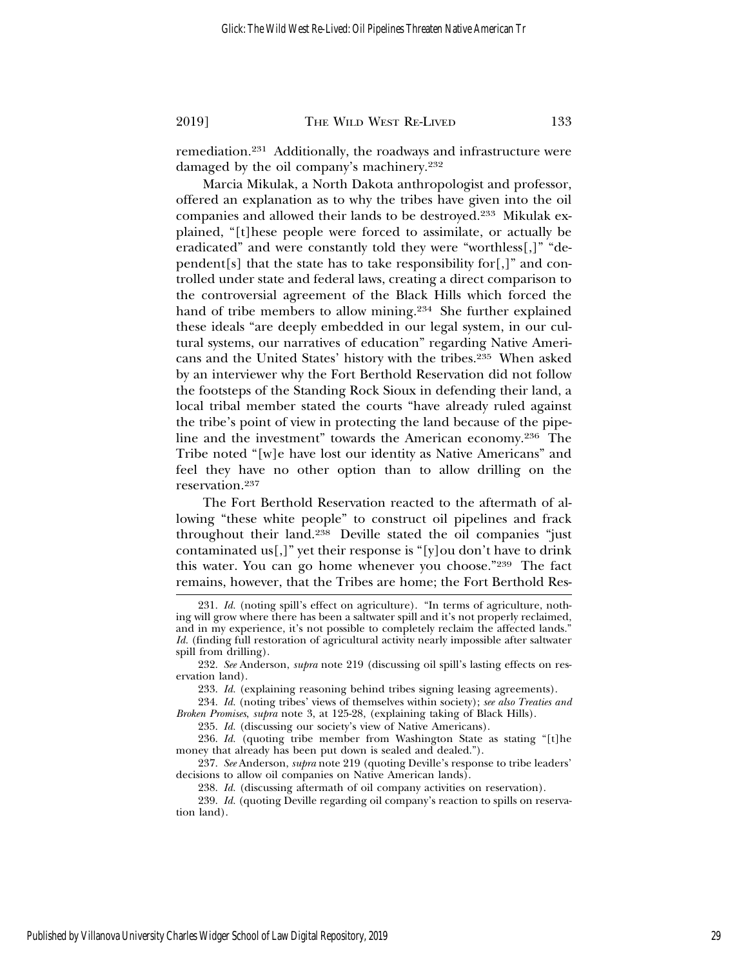remediation.231 Additionally, the roadways and infrastructure were damaged by the oil company's machinery.232

Marcia Mikulak, a North Dakota anthropologist and professor, offered an explanation as to why the tribes have given into the oil companies and allowed their lands to be destroyed.233 Mikulak explained, "[t]hese people were forced to assimilate, or actually be eradicated" and were constantly told they were "worthless[,]" "dependent[s] that the state has to take responsibility for[,]" and controlled under state and federal laws, creating a direct comparison to the controversial agreement of the Black Hills which forced the hand of tribe members to allow mining.<sup>234</sup> She further explained these ideals "are deeply embedded in our legal system, in our cultural systems, our narratives of education" regarding Native Americans and the United States' history with the tribes.235 When asked by an interviewer why the Fort Berthold Reservation did not follow the footsteps of the Standing Rock Sioux in defending their land, a local tribal member stated the courts "have already ruled against the tribe's point of view in protecting the land because of the pipeline and the investment" towards the American economy.236 The Tribe noted "[w]e have lost our identity as Native Americans" and feel they have no other option than to allow drilling on the reservation.237

The Fort Berthold Reservation reacted to the aftermath of allowing "these white people" to construct oil pipelines and frack throughout their land.238 Deville stated the oil companies "just contaminated us[,]" yet their response is "[y]ou don't have to drink this water. You can go home whenever you choose."239 The fact remains, however, that the Tribes are home; the Fort Berthold Res-

<sup>231.</sup> *Id.* (noting spill's effect on agriculture). "In terms of agriculture, nothing will grow where there has been a saltwater spill and it's not properly reclaimed, and in my experience, it's not possible to completely reclaim the affected lands." *Id.* (finding full restoration of agricultural activity nearly impossible after saltwater spill from drilling).

<sup>232.</sup> *See* Anderson, *supra* note 219 (discussing oil spill's lasting effects on reservation land).

<sup>233.</sup> *Id.* (explaining reasoning behind tribes signing leasing agreements).

<sup>234.</sup> *Id.* (noting tribes' views of themselves within society); *see also Treaties and Broken Promises*, *supra* note 3, at 125-28, (explaining taking of Black Hills).

<sup>235.</sup> *Id.* (discussing our society's view of Native Americans).

<sup>236.</sup> *Id.* (quoting tribe member from Washington State as stating "[t]he money that already has been put down is sealed and dealed.").

<sup>237.</sup> *See* Anderson, *supra* note 219 (quoting Deville's response to tribe leaders' decisions to allow oil companies on Native American lands).

<sup>238.</sup> *Id.* (discussing aftermath of oil company activities on reservation).

<sup>239.</sup> *Id.* (quoting Deville regarding oil company's reaction to spills on reservation land).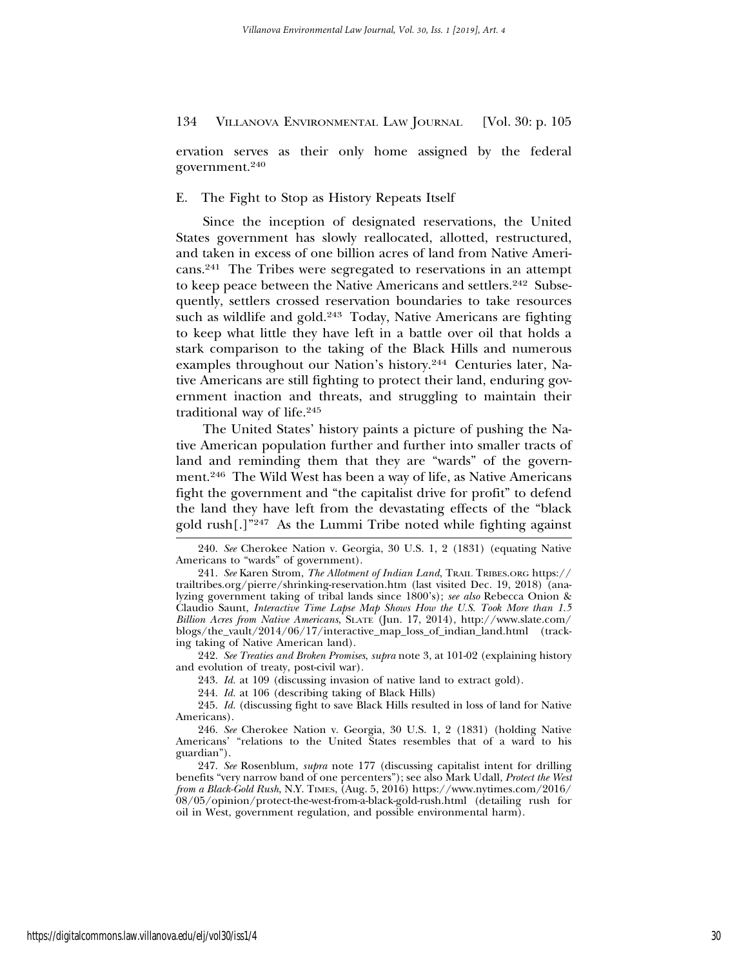ervation serves as their only home assigned by the federal government.240

E. The Fight to Stop as History Repeats Itself

Since the inception of designated reservations, the United States government has slowly reallocated, allotted, restructured, and taken in excess of one billion acres of land from Native Americans.241 The Tribes were segregated to reservations in an attempt to keep peace between the Native Americans and settlers.<sup>242</sup> Subsequently, settlers crossed reservation boundaries to take resources such as wildlife and gold.<sup>243</sup> Today, Native Americans are fighting to keep what little they have left in a battle over oil that holds a stark comparison to the taking of the Black Hills and numerous examples throughout our Nation's history.244 Centuries later, Native Americans are still fighting to protect their land, enduring government inaction and threats, and struggling to maintain their traditional way of life.245

The United States' history paints a picture of pushing the Native American population further and further into smaller tracts of land and reminding them that they are "wards" of the government.246 The Wild West has been a way of life, as Native Americans fight the government and "the capitalist drive for profit" to defend the land they have left from the devastating effects of the "black gold rush[.]"247 As the Lummi Tribe noted while fighting against

242. *See Treaties and Broken Promises*, *supra* note 3, at 101-02 (explaining history and evolution of treaty, post-civil war).

244. *Id.* at 106 (describing taking of Black Hills)

<sup>240.</sup> *See* Cherokee Nation v. Georgia, 30 U.S. 1, 2 (1831) (equating Native Americans to "wards" of government).

<sup>241.</sup> *See* Karen Strom, *The Allotment of Indian Land*, TRAIL TRIBES.ORG https:// trailtribes.org/pierre/shrinking-reservation.htm (last visited Dec. 19, 2018) (analyzing government taking of tribal lands since 1800's); *see also* Rebecca Onion & Claudio Saunt, *Interactive Time Lapse Map Shows How the U.S. Took More than 1.5 Billion Acres from Native Americans*, SLATE (Jun. 17, 2014), http://www.slate.com/ blogs/the\_vault/2014/06/17/interactive\_map\_loss\_of\_indian\_land.html (tracking taking of Native American land).

<sup>243.</sup> *Id.* at 109 (discussing invasion of native land to extract gold).

<sup>245.</sup> *Id.* (discussing fight to save Black Hills resulted in loss of land for Native Americans).

<sup>246.</sup> *See* Cherokee Nation v. Georgia, 30 U.S. 1, 2 (1831) (holding Native Americans' "relations to the United States resembles that of a ward to his guardian").

<sup>247.</sup> *See* Rosenblum, *supra* note 177 (discussing capitalist intent for drilling benefits "very narrow band of one percenters"); see also Mark Udall, *Protect the West from a Black-Gold Rush*, N.Y. TIMES, (Aug. 5, 2016) https://www.nytimes.com/2016/ 08/05/opinion/protect-the-west-from-a-black-gold-rush.html (detailing rush for oil in West, government regulation, and possible environmental harm).